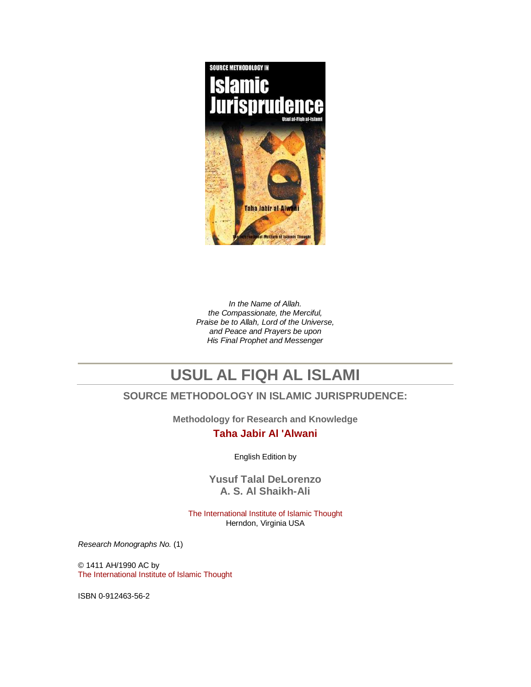

In the Name of Allah. the Compassionate, the Merciful, Praise be to Allah, Lord of the Universe, and Peace and Prayers be upon His Final Prophet and Messenger

# **USUL AL FIQH AL ISLAMI**

# **SOURCE METHODOLOGY IN ISLAMIC JURISPRUDENCE:**

**Methodology for Research and Knowledge** 

### **Taha Jabir Al 'Alwani**

English Edition by

**Yusuf Talal DeLorenzo A. S. Al Shaikh-Ali** 

The International Institute of Islamic Thought Herndon, Virginia USA

Research Monographs No. (1)

© 1411 AH/1990 AC by The International Institute of Islamic Thought

ISBN 0-912463-56-2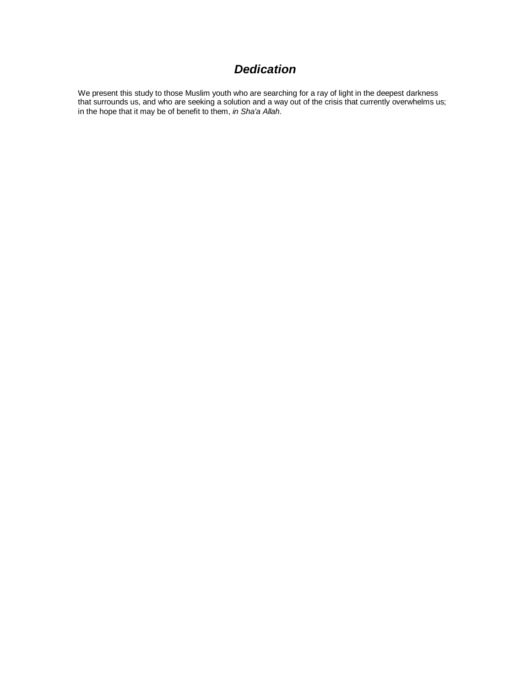# **Dedication**

We present this study to those Muslim youth who are searching for a ray of light in the deepest darkness that surrounds us, and who are seeking a solution and a way out of the crisis that currently overwhelms us; in the hope that it may be of benefit to them, in Sha'a Allah.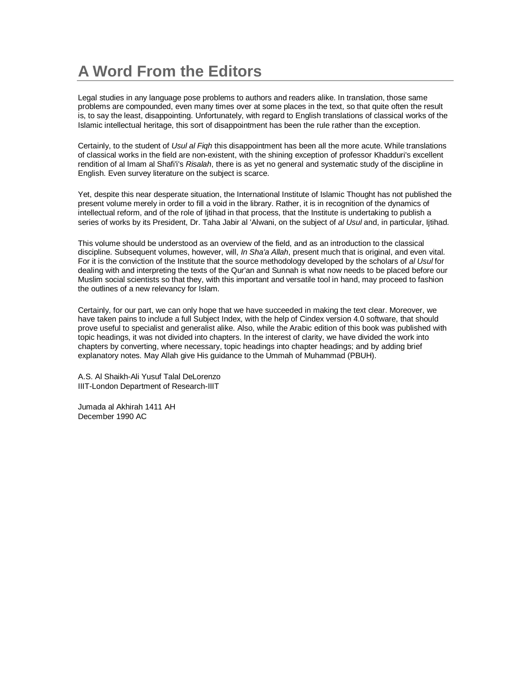# **A Word From the Editors**

Legal studies in any language pose problems to authors and readers alike. In translation, those same problems are compounded, even many times over at some places in the text, so that quite often the result is, to say the least, disappointing. Unfortunately, with regard to English translations of classical works of the Islamic intellectual heritage, this sort of disappointment has been the rule rather than the exception.

Certainly, to the student of Usul al Figh this disappointment has been all the more acute. While translations of classical works in the field are non-existent, with the shining exception of professor Khadduri's excellent rendition of al Imam al Shafi'i's Risalah, there is as yet no general and systematic study of the discipline in English. Even survey literature on the subject is scarce.

Yet, despite this near desperate situation, the International Institute of Islamic Thought has not published the present volume merely in order to fill a void in the library. Rather, it is in recognition of the dynamics of intellectual reform, and of the role of Ijtihad in that process, that the Institute is undertaking to publish a series of works by its President, Dr. Taha Jabir al 'Alwani, on the subject of al Usul and, in particular, Ijtihad.

This volume should be understood as an overview of the field, and as an introduction to the classical discipline. Subsequent volumes, however, will, In Sha'a Allah, present much that is original, and even vital. For it is the conviction of the Institute that the source methodology developed by the scholars of al Usul for dealing with and interpreting the texts of the Qur'an and Sunnah is what now needs to be placed before our Muslim social scientists so that they, with this important and versatile tool in hand, may proceed to fashion the outlines of a new relevancy for Islam.

Certainly, for our part, we can only hope that we have succeeded in making the text clear. Moreover, we have taken pains to include a full Subject Index, with the help of Cindex version 4.0 software, that should prove useful to specialist and generalist alike. Also, while the Arabic edition of this book was published with topic headings, it was not divided into chapters. In the interest of clarity, we have divided the work into chapters by converting, where necessary, topic headings into chapter headings; and by adding brief explanatory notes. May Allah give His guidance to the Ummah of Muhammad (PBUH).

A.S. Al Shaikh-Ali Yusuf Talal DeLorenzo IIIT-London Department of Research-IIIT

Jumada al Akhirah 1411 AH December 1990 AC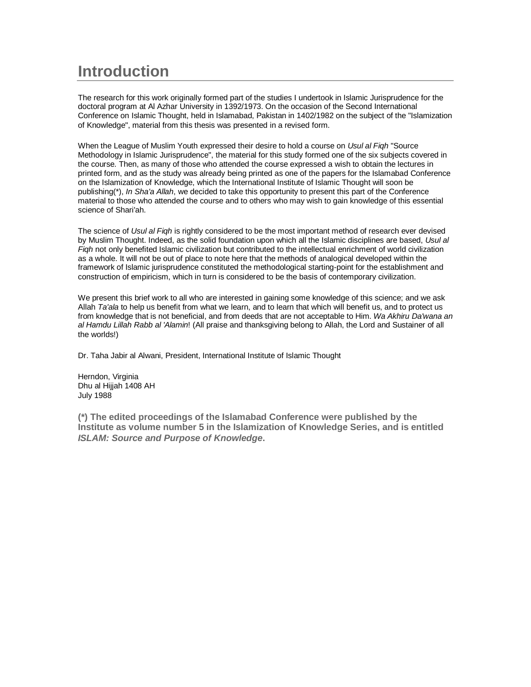# **Introduction**

The research for this work originally formed part of the studies I undertook in Islamic Jurisprudence for the doctoral program at Al Azhar University in 1392/1973. On the occasion of the Second International Conference on Islamic Thought, held in Islamabad, Pakistan in 1402/1982 on the subject of the "Islamization of Knowledge", material from this thesis was presented in a revised form.

When the League of Muslim Youth expressed their desire to hold a course on Usul al Figh "Source Methodology in Islamic Jurisprudence", the material for this study formed one of the six subjects covered in the course. Then, as many of those who attended the course expressed a wish to obtain the lectures in printed form, and as the study was already being printed as one of the papers for the Islamabad Conference on the Islamization of Knowledge, which the International Institute of Islamic Thought will soon be publishing(\*), In Sha'a Allah, we decided to take this opportunity to present this part of the Conference material to those who attended the course and to others who may wish to gain knowledge of this essential science of Shari'ah.

The science of Usul al Figh is rightly considered to be the most important method of research ever devised by Muslim Thought. Indeed, as the solid foundation upon which all the Islamic disciplines are based, Usul al Figh not only benefited Islamic civilization but contributed to the intellectual enrichment of world civilization as a whole. It will not be out of place to note here that the methods of analogical developed within the framework of Islamic jurisprudence constituted the methodological starting-point for the establishment and construction of empiricism, which in turn is considered to be the basis of contemporary civilization.

We present this brief work to all who are interested in gaining some knowledge of this science; and we ask Allah Ta'ala to help us benefit from what we learn, and to learn that which will benefit us, and to protect us from knowledge that is not beneficial, and from deeds that are not acceptable to Him. Wa Akhiru Da'wana an al Hamdu Lillah Rabb al 'Alamin! (All praise and thanksgiving belong to Allah, the Lord and Sustainer of all the worlds!)

Dr. Taha Jabir al Alwani, President, International Institute of Islamic Thought

Herndon, Virginia Dhu al Hijjah 1408 AH July 1988

**(\*) The edited proceedings of the Islamabad Conference were published by the Institute as volume number 5 in the Islamization of Knowledge Series, and is entitled ISLAM: Source and Purpose of Knowledge.**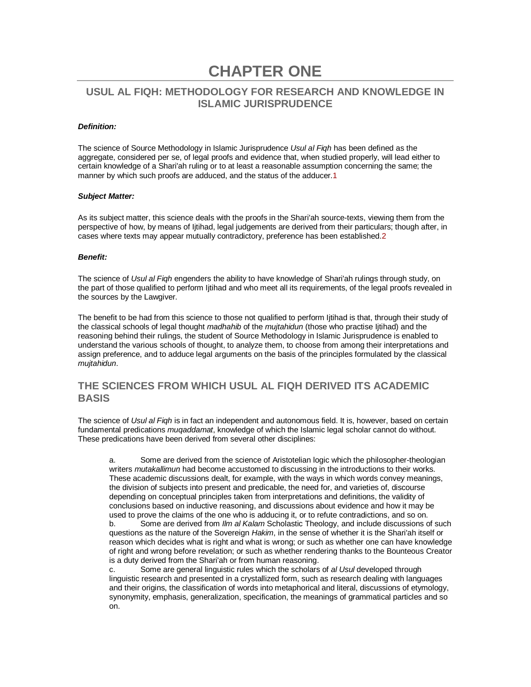# **CHAPTER ONE**

# **USUL AL FIQH: METHODOLOGY FOR RESEARCH AND KNOWLEDGE IN ISLAMIC JURISPRUDENCE**

#### **Definition:**

The science of Source Methodology in Islamic Jurisprudence Usul al Fiqh has been defined as the aggregate, considered per se, of legal proofs and evidence that, when studied properly, will lead either to certain knowledge of a Shari'ah ruling or to at least a reasonable assumption concerning the same; the manner by which such proofs are adduced, and the status of the adducer.1

#### **Subject Matter:**

As its subject matter, this science deals with the proofs in the Shari'ah source-texts, viewing them from the perspective of how, by means of Ijtihad, legal judgements are derived from their particulars; though after, in cases where texts may appear mutually contradictory, preference has been established.2

#### **Benefit:**

The science of Usul al Figh engenders the ability to have knowledge of Shari'ah rulings through study, on the part of those qualified to perform Ijtihad and who meet all its requirements, of the legal proofs revealed in the sources by the Lawgiver.

The benefit to be had from this science to those not qualified to perform Ijtihad is that, through their study of the classical schools of legal thought madhahib of the mujtahidun (those who practise litihad) and the reasoning behind their rulings, the student of Source Methodology in Islamic Jurisprudence is enabled to understand the various schools of thought, to analyze them, to choose from among their interpretations and assign preference, and to adduce legal arguments on the basis of the principles formulated by the classical mujtahidun.

# **THE SCIENCES FROM WHICH USUL AL FIQH DERIVED ITS ACADEMIC BASIS**

The science of Usul al Figh is in fact an independent and autonomous field. It is, however, based on certain fundamental predications *mugaddamat*, knowledge of which the Islamic legal scholar cannot do without. These predications have been derived from several other disciplines:

a. Some are derived from the science of Aristotelian logic which the philosopher-theologian writers *mutakallimun* had become accustomed to discussing in the introductions to their works. These academic discussions dealt, for example, with the ways in which words convey meanings, the division of subjects into present and predicable, the need for, and varieties of, discourse depending on conceptual principles taken from interpretations and definitions, the validity of conclusions based on inductive reasoning, and discussions about evidence and how it may be used to prove the claims of the one who is adducing it, or to refute contradictions, and so on.

b. Some are derived from Ilm al Kalam Scholastic Theology, and include discussions of such questions as the nature of the Sovereign Hakim, in the sense of whether it is the Shari'ah itself or reason which decides what is right and what is wrong; or such as whether one can have knowledge of right and wrong before revelation; or such as whether rendering thanks to the Bounteous Creator is a duty derived from the Shari'ah or from human reasoning.

c. Some are general linguistic rules which the scholars of al Usul developed through linguistic research and presented in a crystallized form, such as research dealing with languages and their origins, the classification of words into metaphorical and literal, discussions of etymology, synonymity, emphasis, generalization, specification, the meanings of grammatical particles and so on.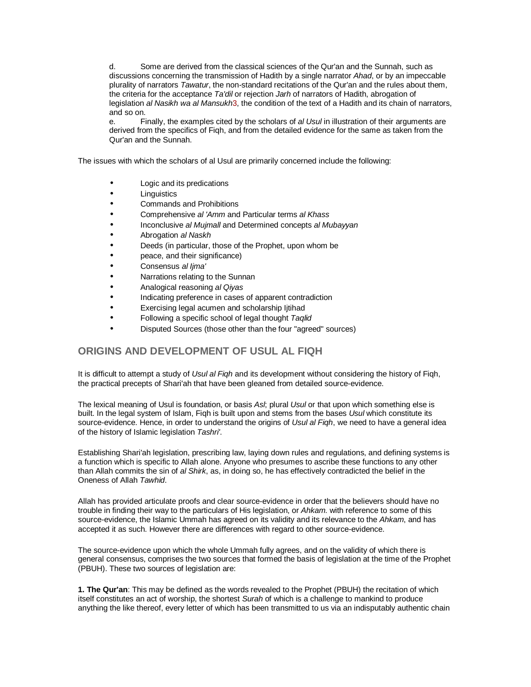d. Some are derived from the classical sciences of the Qur'an and the Sunnah, such as discussions concerning the transmission of Hadith by a single narrator Ahad, or by an impeccable plurality of narrators Tawatur, the non-standard recitations of the Qur'an and the rules about them, the criteria for the acceptance Ta'dil or rejection Jarh of narrators of Hadith, abrogation of legislation al Nasikh wa al Mansukh3, the condition of the text of a Hadith and its chain of narrators, and so on.

e. Finally, the examples cited by the scholars of al Usul in illustration of their arguments are derived from the specifics of Fiqh, and from the detailed evidence for the same as taken from the Qur'an and the Sunnah.

The issues with which the scholars of al Usul are primarily concerned include the following:

- Logic and its predications
- Linguistics
- Commands and Prohibitions
- Comprehensive al 'Amm and Particular terms al Khass
- Inconclusive al Mujmall and Determined concepts al Mubayyan
- Abrogation al Naskh
- Deeds (in particular, those of the Prophet, upon whom be
- peace, and their significance)
- Consensus al lima'
- Narrations relating to the Sunnan
- Analogical reasoning al Qiyas
- Indicating preference in cases of apparent contradiction
- Exercising legal acumen and scholarship Ijtihad
- Following a specific school of legal thought Taglid
- Disputed Sources (those other than the four "agreed" sources)

# **ORIGINS AND DEVELOPMENT OF USUL AL FIQH**

It is difficult to attempt a study of Usul al Figh and its development without considering the history of Figh, the practical precepts of Shari'ah that have been gleaned from detailed source-evidence.

The lexical meaning of Usul is foundation, or basis Ast, plural Usul or that upon which something else is built. In the legal system of Islam, Figh is built upon and stems from the bases Usul which constitute its source-evidence. Hence, in order to understand the origins of Usul al Figh, we need to have a general idea of the history of Islamic legislation Tashri'.

Establishing Shari'ah legislation, prescribing law, laying down rules and regulations, and defining systems is a function which is specific to Allah alone. Anyone who presumes to ascribe these functions to any other than Allah commits the sin of al Shirk, as, in doing so, he has effectively contradicted the belief in the Oneness of Allah Tawhid.

Allah has provided articulate proofs and clear source-evidence in order that the believers should have no trouble in finding their way to the particulars of His legislation, or Ahkam. with reference to some of this source-evidence, the Islamic Ummah has agreed on its validity and its relevance to the Ahkam, and has accepted it as such. However there are differences with regard to other source-evidence.

The source-evidence upon which the whole Ummah fully agrees, and on the validity of which there is general consensus, comprises the two sources that formed the basis of legislation at the time of the Prophet (PBUH). These two sources of legislation are:

**1. The Qur'an**: This may be defined as the words revealed to the Prophet (PBUH) the recitation of which itself constitutes an act of worship, the shortest Surah of which is a challenge to mankind to produce anything the like thereof, every letter of which has been transmitted to us via an indisputably authentic chain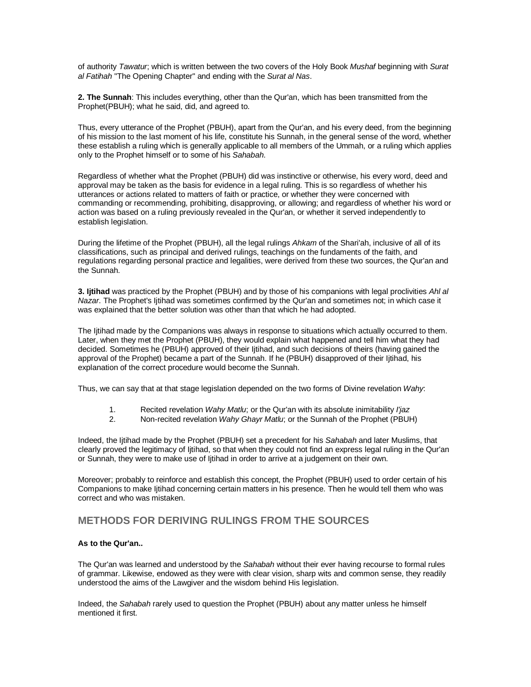of authority Tawatur; which is written between the two covers of the Holy Book Mushaf beginning with Surat al Fatihah "The Opening Chapter" and ending with the Surat al Nas.

**2. The Sunnah**: This includes everything, other than the Qur'an, which has been transmitted from the Prophet(PBUH); what he said, did, and agreed to.

Thus, every utterance of the Prophet (PBUH), apart from the Qur'an, and his every deed, from the beginning of his mission to the last moment of his life, constitute his Sunnah, in the general sense of the word, whether these establish a ruling which is generally applicable to all members of the Ummah, or a ruling which applies only to the Prophet himself or to some of his Sahabah.

Regardless of whether what the Prophet (PBUH) did was instinctive or otherwise, his every word, deed and approval may be taken as the basis for evidence in a legal ruling. This is so regardless of whether his utterances or actions related to matters of faith or practice, or whether they were concerned with commanding or recommending, prohibiting, disapproving, or allowing; and regardless of whether his word or action was based on a ruling previously revealed in the Qur'an, or whether it served independently to establish legislation.

During the lifetime of the Prophet (PBUH), all the legal rulings Ahkam of the Shari'ah, inclusive of all of its classifications, such as principal and derived rulings, teachings on the fundaments of the faith, and regulations regarding personal practice and legalities, were derived from these two sources, the Qur'an and the Sunnah.

**3. Ijtihad** was practiced by the Prophet (PBUH) and by those of his companions with legal proclivities Ahl al Nazar. The Prophet's Ijtihad was sometimes confirmed by the Qur'an and sometimes not; in which case it was explained that the better solution was other than that which he had adopted.

The Ijtihad made by the Companions was always in response to situations which actually occurred to them. Later, when they met the Prophet (PBUH), they would explain what happened and tell him what they had decided. Sometimes he (PBUH) approved of their Ijtihad, and such decisions of theirs (having gained the approval of the Prophet) became a part of the Sunnah. If he (PBUH) disapproved of their Ijtihad, his explanation of the correct procedure would become the Sunnah.

Thus, we can say that at that stage legislation depended on the two forms of Divine revelation Wahy:

- 1. Recited revelation Wahy Matlu; or the Qur'an with its absolute inimitability l'jaz
- 2. Non-recited revelation Wahy Ghayr Matlu; or the Sunnah of the Prophet (PBUH)

Indeed, the Ijtihad made by the Prophet (PBUH) set a precedent for his Sahabah and later Muslims, that clearly proved the legitimacy of Ijtihad, so that when they could not find an express legal ruling in the Qur'an or Sunnah, they were to make use of Ijtihad in order to arrive at a judgement on their own.

Moreover; probably to reinforce and establish this concept, the Prophet (PBUH) used to order certain of his Companions to make Ijtihad concerning certain matters in his presence. Then he would tell them who was correct and who was mistaken.

# **METHODS FOR DERIVING RULINGS FROM THE SOURCES**

### **As to the Qur'an..**

The Qur'an was learned and understood by the Sahabah without their ever having recourse to formal rules of grammar. Likewise, endowed as they were with clear vision, sharp wits and common sense, they readily understood the aims of the Lawgiver and the wisdom behind His legislation.

Indeed, the Sahabah rarely used to question the Prophet (PBUH) about any matter unless he himself mentioned it first.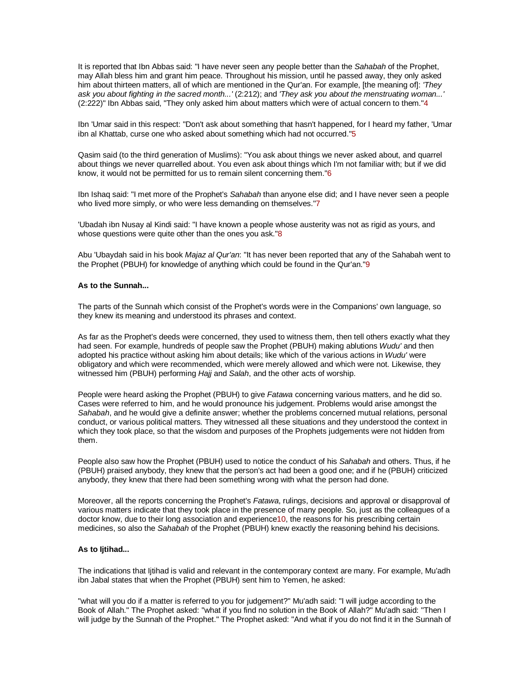It is reported that Ibn Abbas said: "I have never seen any people better than the Sahabah of the Prophet, may Allah bless him and grant him peace. Throughout his mission, until he passed away, they only asked him about thirteen matters, all of which are mentioned in the Qur'an. For example, [the meaning of]: 'They ask you about fighting in the sacred month...' (2:212); and 'They ask you about the menstruating woman...' (2:222)" Ibn Abbas said, "They only asked him about matters which were of actual concern to them."4

Ibn 'Umar said in this respect: "Don't ask about something that hasn't happened, for I heard my father, 'Umar ibn al Khattab, curse one who asked about something which had not occurred."5

Qasim said (to the third generation of Muslims): "You ask about things we never asked about, and quarrel about things we never quarrelled about. You even ask about things which I'm not familiar with; but if we did know, it would not be permitted for us to remain silent concerning them."6

Ibn Ishaq said: "I met more of the Prophet's Sahabah than anyone else did; and I have never seen a people who lived more simply, or who were less demanding on themselves."7

'Ubadah ibn Nusay al Kindi said: "I have known a people whose austerity was not as rigid as yours, and whose questions were quite other than the ones you ask."8

Abu 'Ubaydah said in his book Majaz al Qur'an: "It has never been reported that any of the Sahabah went to the Prophet (PBUH) for knowledge of anything which could be found in the Qur'an."9

#### **As to the Sunnah...**

The parts of the Sunnah which consist of the Prophet's words were in the Companions' own language, so they knew its meaning and understood its phrases and context.

As far as the Prophet's deeds were concerned, they used to witness them, then tell others exactly what they had seen. For example, hundreds of people saw the Prophet (PBUH) making ablutions *Wudu'* and then adopted his practice without asking him about details; like which of the various actions in Wudu' were obligatory and which were recommended, which were merely allowed and which were not. Likewise, they witnessed him (PBUH) performing Hajj and Salah, and the other acts of worship.

People were heard asking the Prophet (PBUH) to give Fatawa concerning various matters, and he did so. Cases were referred to him, and he would pronounce his judgement. Problems would arise amongst the Sahabah, and he would give a definite answer; whether the problems concerned mutual relations, personal conduct, or various political matters. They witnessed all these situations and they understood the context in which they took place, so that the wisdom and purposes of the Prophets judgements were not hidden from them.

People also saw how the Prophet (PBUH) used to notice the conduct of his Sahabah and others. Thus, if he (PBUH) praised anybody, they knew that the person's act had been a good one; and if he (PBUH) criticized anybody, they knew that there had been something wrong with what the person had done.

Moreover, all the reports concerning the Prophet's Fatawa, rulings, decisions and approval or disapproval of various matters indicate that they took place in the presence of many people. So, just as the colleagues of a doctor know, due to their long association and experience10, the reasons for his prescribing certain medicines, so also the Sahabah of the Prophet (PBUH) knew exactly the reasoning behind his decisions.

#### **As to Ijtihad...**

The indications that Ijtihad is valid and relevant in the contemporary context are many. For example, Mu'adh ibn Jabal states that when the Prophet (PBUH) sent him to Yemen, he asked:

"what will you do if a matter is referred to you for judgement?" Mu'adh said: "I will judge according to the Book of Allah." The Prophet asked: "what if you find no solution in the Book of Allah?" Mu'adh said: "Then I will judge by the Sunnah of the Prophet." The Prophet asked: "And what if you do not find it in the Sunnah of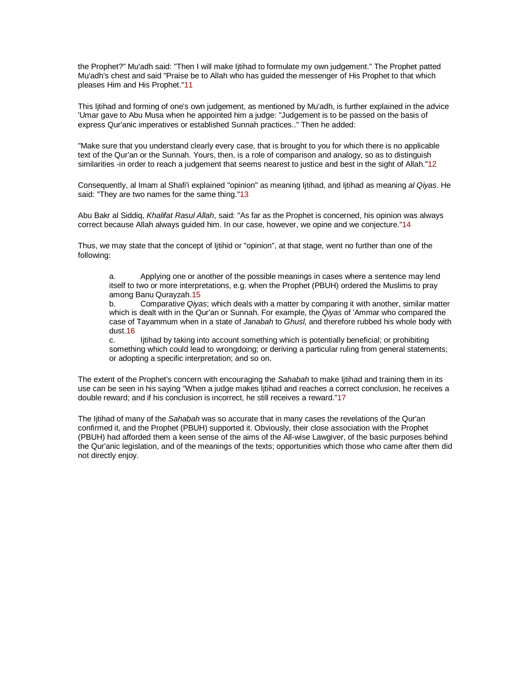the Prophet?" Mu'adh said: "Then I will make Ijtihad to formulate my own judgement." The Prophet patted Mu'adh's chest and said "Praise be to Allah who has guided the messenger of His Prophet to that which pleases Him and His Prophet."11

This Ijtihad and forming of one's own judgement, as mentioned by Mu'adh, is further explained in the advice 'Umar gave to Abu Musa when he appointed him a judge: "Judgement is to be passed on the basis of express Qur'anic imperatives or established Sunnah practices.." Then he added:

"Make sure that you understand clearly every case, that is brought to you for which there is no applicable text of the Qur'an or the Sunnah. Yours, then, is a role of comparison and analogy, so as to distinguish similarities -in order to reach a judgement that seems nearest to justice and best in the sight of Allah."12

Consequently, al Imam al Shafi'i explained "opinion" as meaning Ijtihad, and Ijtihad as meaning al Qiyas. He said: "They are two names for the same thing."13

Abu Bakr al Siddiq, Khalifat Rasul Allah, said: "As far as the Prophet is concerned, his opinion was always correct because Allah always guided him. In our case, however, we opine and we conjecture."14

Thus, we may state that the concept of Ijtihid or "opinion", at that stage, went no further than one of the following:

a. Applying one or another of the possible meanings in cases where a sentence may lend itself to two or more interpretations, e.g. when the Prophet (PBUH) ordered the Muslims to pray among Banu Qurayzah.15

b. Comparative Qiyas; which deals with a matter by comparing it with another, similar matter which is dealt with in the Qur'an or Sunnah. For example, the Qiyas of 'Ammar who compared the case of Tayammum when in a state of Janabah to Ghusl, and therefore rubbed his whole body with dust.16

c. Ijtihad by taking into account something which is potentially beneficial; or prohibiting something which could lead to wrongdoing; or deriving a particular ruling from general statements; or adopting a specific interpretation; and so on.

The extent of the Prophet's concern with encouraging the Sahabah to make Ijtihad and training them in its use can be seen in his saying "When a judge makes Ijtihad and reaches a correct conclusion, he receives a double reward; and if his conclusion is incorrect, he still receives a reward."17

The Ijtihad of many of the Sahabah was so accurate that in many cases the revelations of the Qur'an confirmed it, and the Prophet (PBUH) supported it. Obviously, their close association with the Prophet (PBUH) had afforded them a keen sense of the aims of the All-wise Lawgiver, of the basic purposes behind the Qur'anic legislation, and of the meanings of the texts; opportunities which those who came after them did not directly enjoy.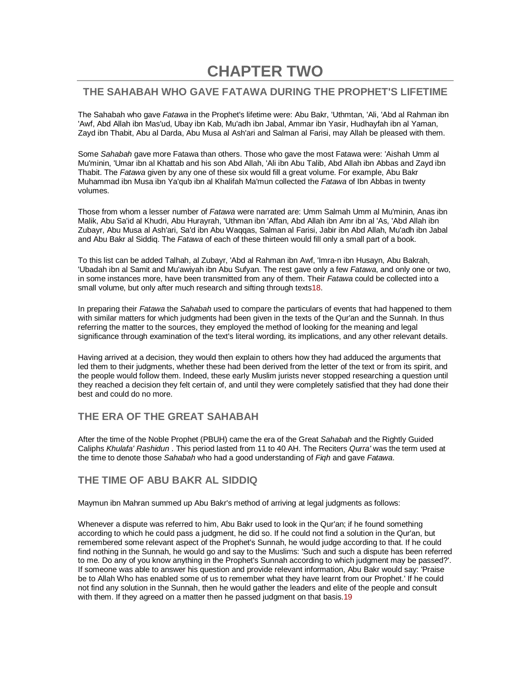# **CHAPTER TWO**

# **THE SAHABAH WHO GAVE FATAWA DURING THE PROPHET'S LIFETIME**

The Sahabah who gave Fatawa in the Prophet's lifetime were: Abu Bakr, 'Uthmtan, 'Ali, 'Abd al Rahman ibn 'Awf, Abd Allah ibn Mas'ud, Ubay ibn Kab, Mu'adh ibn Jabal, Ammar ibn Yasir, Hudhayfah ibn al Yaman, Zayd ibn Thabit, Abu al Darda, Abu Musa al Ash'ari and Salman al Farisi, may Allah be pleased with them.

Some Sahabah gave more Fatawa than others. Those who gave the most Fatawa were: 'Aishah Umm al Mu'minin, 'Umar ibn al Khattab and his son Abd Allah, 'Ali ibn Abu Talib, Abd Allah ibn Abbas and Zayd ibn Thabit. The Fatawa given by any one of these six would fill a great volume. For example, Abu Bakr Muhammad ibn Musa ibn Ya'qub ibn al Khalifah Ma'mun collected the Fatawa of Ibn Abbas in twenty volumes.

Those from whom a lesser number of Fatawa were narrated are: Umm Salmah Umm al Mu'minin, Anas ibn Malik, Abu Sa'id al Khudri, Abu Hurayrah, 'Uthman ibn 'Affan, Abd Allah ibn Amr ibn al 'As, 'Abd Allah ibn Zubayr, Abu Musa al Ash'ari, Sa'd ibn Abu Waqqas, Salman al Farisi, Jabir ibn Abd Allah, Mu'adh ibn Jabal and Abu Bakr al Siddiq. The Fatawa of each of these thirteen would fill only a small part of a book.

To this list can be added Talhah, al Zubayr, 'Abd al Rahman ibn Awf, 'Imra-n ibn Husayn, Abu Bakrah, 'Ubadah ibn al Samit and Mu'awiyah ibn Abu Sufyan. The rest gave only a few Fatawa, and only one or two, in some instances more, have been transmitted from any of them. Their Fatawa could be collected into a small volume, but only after much research and sifting through texts18.

In preparing their Fatawa the Sahabah used to compare the particulars of events that had happened to them with similar matters for which judgments had been given in the texts of the Qur'an and the Sunnah. In thus referring the matter to the sources, they employed the method of looking for the meaning and legal significance through examination of the text's literal wording, its implications, and any other relevant details.

Having arrived at a decision, they would then explain to others how they had adduced the arguments that led them to their judgments, whether these had been derived from the letter of the text or from its spirit, and the people would follow them. Indeed, these early Muslim jurists never stopped researching a question until they reached a decision they felt certain of, and until they were completely satisfied that they had done their best and could do no more.

# **THE ERA OF THE GREAT SAHABAH**

After the time of the Noble Prophet (PBUH) came the era of the Great Sahabah and the Rightly Guided Caliphs Khulafa' Rashidun . This period lasted from 11 to 40 AH. The Reciters Qurra' was the term used at the time to denote those Sahabah who had a good understanding of Figh and gave Fatawa.

# **THE TIME OF ABU BAKR AL SIDDIQ**

Maymun ibn Mahran summed up Abu Bakr's method of arriving at legal judgments as follows:

Whenever a dispute was referred to him, Abu Bakr used to look in the Qur'an; if he found something according to which he could pass a judgment, he did so. If he could not find a solution in the Qur'an, but remembered some relevant aspect of the Prophet's Sunnah, he would judge according to that. If he could find nothing in the Sunnah, he would go and say to the Muslims: 'Such and such a dispute has been referred to me. Do any of you know anything in the Prophet's Sunnah according to which judgment may be passed?'. If someone was able to answer his question and provide relevant information, Abu Bakr would say: 'Praise be to Allah Who has enabled some of us to remember what they have learnt from our Prophet.' If he could not find any solution in the Sunnah, then he would gather the leaders and elite of the people and consult with them. If they agreed on a matter then he passed judgment on that basis.19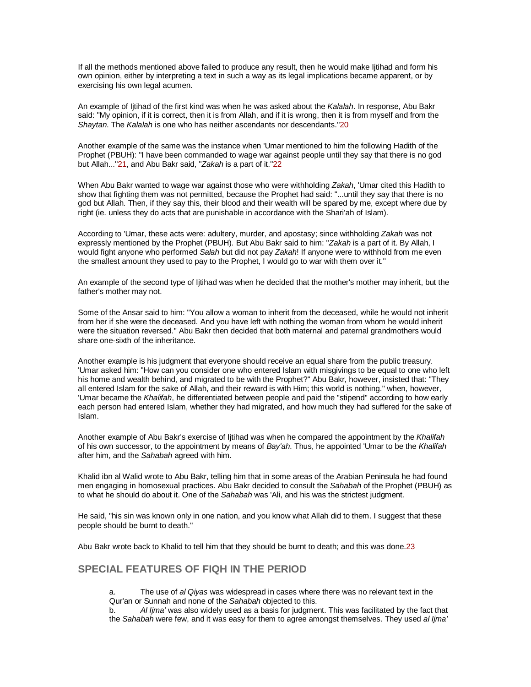If all the methods mentioned above failed to produce any result, then he would make Ijtihad and form his own opinion, either by interpreting a text in such a way as its legal implications became apparent, or by exercising his own legal acumen.

An example of litihad of the first kind was when he was asked about the Kalalah. In response, Abu Bakr said: "My opinion, if it is correct, then it is from Allah, and if it is wrong, then it is from myself and from the Shaytan. The Kalalah is one who has neither ascendants nor descendants."20

Another example of the same was the instance when 'Umar mentioned to him the following Hadith of the Prophet (PBUH): "I have been commanded to wage war against people until they say that there is no god but Allah..."21, and Abu Bakr said, "Zakah is a part of it."22

When Abu Bakr wanted to wage war against those who were withholding Zakah, 'Umar cited this Hadith to show that fighting them was not permitted, because the Prophet had said: "...until they say that there is no god but Allah. Then, if they say this, their blood and their wealth will be spared by me, except where due by right (ie. unless they do acts that are punishable in accordance with the Shari'ah of Islam).

According to 'Umar, these acts were: adultery, murder, and apostasy; since withholding Zakah was not expressly mentioned by the Prophet (PBUH). But Abu Bakr said to him: "Zakah is a part of it. By Allah, I would fight anyone who performed Salah but did not pay Zakah! If anyone were to withhold from me even the smallest amount they used to pay to the Prophet, I would go to war with them over it."

An example of the second type of Ijtihad was when he decided that the mother's mother may inherit, but the father's mother may not.

Some of the Ansar said to him: "You allow a woman to inherit from the deceased, while he would not inherit from her if she were the deceased. And you have left with nothing the woman from whom he would inherit were the situation reversed." Abu Bakr then decided that both maternal and paternal grandmothers would share one-sixth of the inheritance.

Another example is his judgment that everyone should receive an equal share from the public treasury. 'Umar asked him: "How can you consider one who entered Islam with misgivings to be equal to one who left his home and wealth behind, and migrated to be with the Prophet?" Abu Bakr, however, insisted that: "They all entered Islam for the sake of Allah, and their reward is with Him; this world is nothing." when, however, 'Umar became the Khalifah, he differentiated between people and paid the "stipend" according to how early each person had entered Islam, whether they had migrated, and how much they had suffered for the sake of Islam.

Another example of Abu Bakr's exercise of litihad was when he compared the appointment by the Khalifah of his own successor, to the appointment by means of Bay'ah. Thus, he appointed 'Umar to be the Khalifah after him, and the Sahabah agreed with him.

Khalid ibn al Walid wrote to Abu Bakr, telling him that in some areas of the Arabian Peninsula he had found men engaging in homosexual practices. Abu Bakr decided to consult the Sahabah of the Prophet (PBUH) as to what he should do about it. One of the Sahabah was 'Ali, and his was the strictest judgment.

He said, "his sin was known only in one nation, and you know what Allah did to them. I suggest that these people should be burnt to death."

Abu Bakr wrote back to Khalid to tell him that they should be burnt to death; and this was done.23

# **SPECIAL FEATURES OF FIQH IN THE PERIOD**

a. The use of al Qiyas was widespread in cases where there was no relevant text in the Qur'an or Sunnah and none of the Sahabah objected to this.

b. Al Ijma' was also widely used as a basis for judgment. This was facilitated by the fact that the Sahabah were few, and it was easy for them to agree amongst themselves. They used al lima'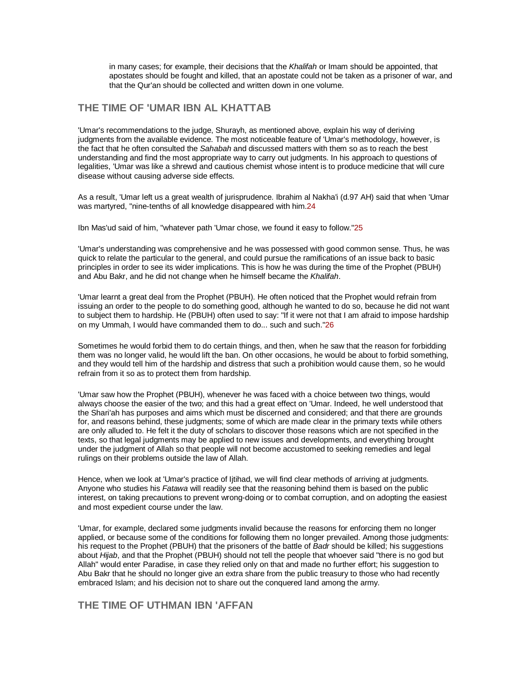in many cases; for example, their decisions that the Khalifah or Imam should be appointed, that apostates should be fought and killed, that an apostate could not be taken as a prisoner of war, and that the Qur'an should be collected and written down in one volume.

### **THE TIME OF 'UMAR IBN AL KHATTAB**

'Umar's recommendations to the judge, Shurayh, as mentioned above, explain his way of deriving judgments from the available evidence. The most noticeable feature of 'Umar's methodology, however, is the fact that he often consulted the Sahabah and discussed matters with them so as to reach the best understanding and find the most appropriate way to carry out judgments. In his approach to questions of legalities, 'Umar was like a shrewd and cautious chemist whose intent is to produce medicine that will cure disease without causing adverse side effects.

As a result, 'Umar left us a great wealth of jurisprudence. Ibrahim al Nakha'i (d.97 AH) said that when 'Umar was martyred, "nine-tenths of all knowledge disappeared with him.24

Ibn Mas'ud said of him, "whatever path 'Umar chose, we found it easy to follow."25

'Umar's understanding was comprehensive and he was possessed with good common sense. Thus, he was quick to relate the particular to the general, and could pursue the ramifications of an issue back to basic principles in order to see its wider implications. This is how he was during the time of the Prophet (PBUH) and Abu Bakr, and he did not change when he himself became the Khalifah.

'Umar learnt a great deal from the Prophet (PBUH). He often noticed that the Prophet would refrain from issuing an order to the people to do something good, although he wanted to do so, because he did not want to subject them to hardship. He (PBUH) often used to say: "If it were not that I am afraid to impose hardship on my Ummah, I would have commanded them to do... such and such."26

Sometimes he would forbid them to do certain things, and then, when he saw that the reason for forbidding them was no longer valid, he would lift the ban. On other occasions, he would be about to forbid something, and they would tell him of the hardship and distress that such a prohibition would cause them, so he would refrain from it so as to protect them from hardship.

'Umar saw how the Prophet (PBUH), whenever he was faced with a choice between two things, would always choose the easier of the two; and this had a great effect on 'Umar. Indeed, he well understood that the Shari'ah has purposes and aims which must be discerned and considered; and that there are grounds for, and reasons behind, these judgments; some of which are made clear in the primary texts while others are only alluded to. He felt it the duty of scholars to discover those reasons which are not specified in the texts, so that legal judgments may be applied to new issues and developments, and everything brought under the judgment of Allah so that people will not become accustomed to seeking remedies and legal rulings on their problems outside the law of Allah.

Hence, when we look at 'Umar's practice of Ijtihad, we will find clear methods of arriving at judgments. Anyone who studies his Fatawa will readily see that the reasoning behind them is based on the public interest, on taking precautions to prevent wrong-doing or to combat corruption, and on adopting the easiest and most expedient course under the law.

'Umar, for example, declared some judgments invalid because the reasons for enforcing them no longer applied, or because some of the conditions for following them no longer prevailed. Among those judgments: his request to the Prophet (PBUH) that the prisoners of the battle of Badr should be killed; his suggestions about Hijab, and that the Prophet (PBUH) should not tell the people that whoever said "there is no god but Allah" would enter Paradise, in case they relied only on that and made no further effort; his suggestion to Abu Bakr that he should no longer give an extra share from the public treasury to those who had recently embraced Islam; and his decision not to share out the conquered land among the army.

### **THE TIME OF UTHMAN IBN 'AFFAN**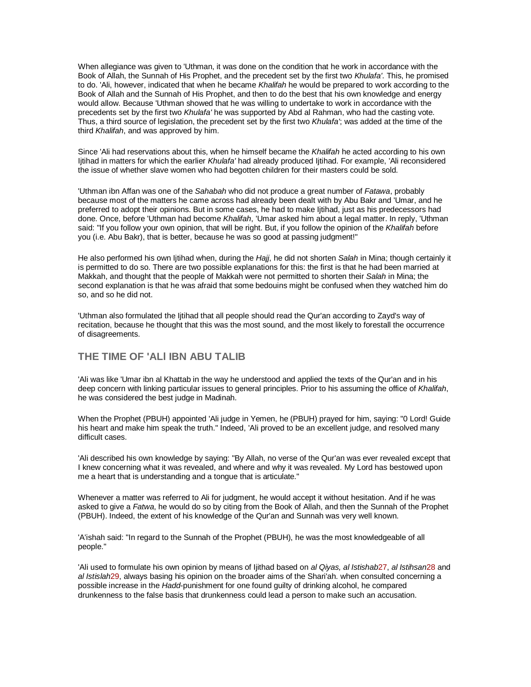When allegiance was given to 'Uthman, it was done on the condition that he work in accordance with the Book of Allah, the Sunnah of His Prophet, and the precedent set by the first two Khulafa'. This, he promised to do. 'Ali, however, indicated that when he became Khalifah he would be prepared to work according to the Book of Allah and the Sunnah of His Prophet, and then to do the best that his own knowledge and energy would allow. Because 'Uthman showed that he was willing to undertake to work in accordance with the precedents set by the first two Khulafa' he was supported by Abd al Rahman, who had the casting vote. Thus, a third source of legislation, the precedent set by the first two Khulafa'; was added at the time of the third Khalifah, and was approved by him.

Since 'Ali had reservations about this, when he himself became the Khalifah he acted according to his own Ijtihad in matters for which the earlier Khulafa' had already produced Ijtihad. For example, 'Ali reconsidered the issue of whether slave women who had begotten children for their masters could be sold.

'Uthman ibn Affan was one of the Sahabah who did not produce a great number of Fatawa, probably because most of the matters he came across had already been dealt with by Abu Bakr and 'Umar, and he preferred to adopt their opinions. But in some cases, he had to make Ijtihad, just as his predecessors had done. Once, before 'Uthman had become Khalifah, 'Umar asked him about a legal matter. In reply, 'Uthman said: "If you follow your own opinion, that will be right. But, if you follow the opinion of the Khalifah before you (i.e. Abu Bakr), that is better, because he was so good at passing judgment!"

He also performed his own ljtihad when, during the Hajj, he did not shorten Salah in Mina; though certainly it is permitted to do so. There are two possible explanations for this: the first is that he had been married at Makkah, and thought that the people of Makkah were not permitted to shorten their Salah in Mina; the second explanation is that he was afraid that some bedouins might be confused when they watched him do so, and so he did not.

'Uthman also formulated the Ijtihad that all people should read the Qur'an according to Zayd's way of recitation, because he thought that this was the most sound, and the most likely to forestall the occurrence of disagreements.

### **THE TIME OF 'ALl IBN ABU TALIB**

'Ali was like 'Umar ibn al Khattab in the way he understood and applied the texts of the Qur'an and in his deep concern with linking particular issues to general principles. Prior to his assuming the office of Khalifah, he was considered the best judge in Madinah.

When the Prophet (PBUH) appointed 'Ali judge in Yemen, he (PBUH) prayed for him, saying: "0 Lord! Guide his heart and make him speak the truth." Indeed, 'Ali proved to be an excellent judge, and resolved many difficult cases.

'Ali described his own knowledge by saying: "By Allah, no verse of the Qur'an was ever revealed except that I knew concerning what it was revealed, and where and why it was revealed. My Lord has bestowed upon me a heart that is understanding and a tongue that is articulate."

Whenever a matter was referred to Ali for judgment, he would accept it without hesitation. And if he was asked to give a Fatwa, he would do so by citing from the Book of Allah, and then the Sunnah of the Prophet (PBUH). Indeed, the extent of his knowledge of the Qur'an and Sunnah was very well known.

'A'ishah said: "In regard to the Sunnah of the Prophet (PBUH), he was the most knowledgeable of all people."

'Ali used to formulate his own opinion by means of ljithad based on al Qiyas, al Istishab27, al Istihsan28 and al Istislah29, always basing his opinion on the broader aims of the Shari'ah. when consulted concerning a possible increase in the Hadd-punishment for one found guilty of drinking alcohol, he compared drunkenness to the false basis that drunkenness could lead a person to make such an accusation.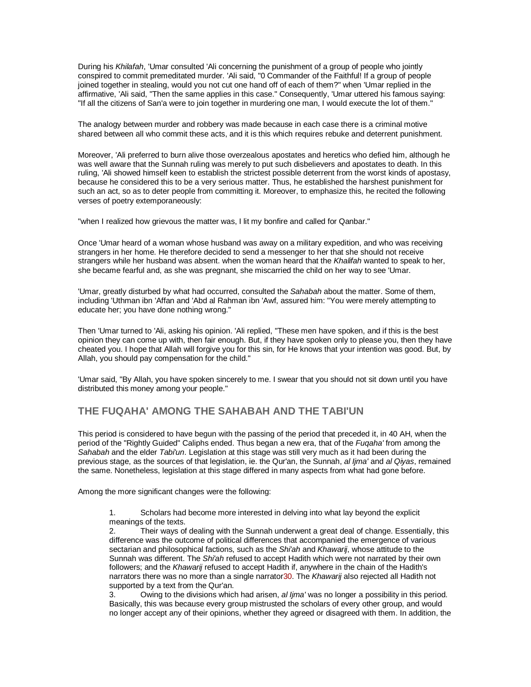During his Khilafah, 'Umar consulted 'Ali concerning the punishment of a group of people who jointly conspired to commit premeditated murder. 'Ali said, "0 Commander of the Faithful! If a group of people joined together in stealing, would you not cut one hand off of each of them?" when 'Umar replied in the affirmative, 'Ali said, "Then the same applies in this case." Consequently, 'Umar uttered his famous saying: "If all the citizens of San'a were to join together in murdering one man, I would execute the lot of them."

The analogy between murder and robbery was made because in each case there is a criminal motive shared between all who commit these acts, and it is this which requires rebuke and deterrent punishment.

Moreover, 'Ali preferred to burn alive those overzealous apostates and heretics who defied him, although he was well aware that the Sunnah ruling was merely to put such disbelievers and apostates to death. In this ruling, 'Ali showed himself keen to establish the strictest possible deterrent from the worst kinds of apostasy, because he considered this to be a very serious matter. Thus, he established the harshest punishment for such an act, so as to deter people from committing it. Moreover, to emphasize this, he recited the following verses of poetry extemporaneously:

"when I realized how grievous the matter was, I lit my bonfire and called for Qanbar."

Once 'Umar heard of a woman whose husband was away on a military expedition, and who was receiving strangers in her home. He therefore decided to send a messenger to her that she should not receive strangers while her husband was absent. when the woman heard that the Khalifah wanted to speak to her, she became fearful and, as she was pregnant, she miscarried the child on her way to see 'Umar.

'Umar, greatly disturbed by what had occurred, consulted the Sahabah about the matter. Some of them, including 'Uthman ibn 'Affan and 'Abd al Rahman ibn 'Awf, assured him: "You were merely attempting to educate her; you have done nothing wrong."

Then 'Umar turned to 'Ali, asking his opinion. 'Ali replied, "These men have spoken, and if this is the best opinion they can come up with, then fair enough. But, if they have spoken only to please you, then they have cheated you. I hope that Allah will forgive you for this sin, for He knows that your intention was good. But, by Allah, you should pay compensation for the child."

'Umar said, "By Allah, you have spoken sincerely to me. I swear that you should not sit down until you have distributed this money among your people."

# **THE FUQAHA' AMONG THE SAHABAH AND THE TABI'UN**

This period is considered to have begun with the passing of the period that preceded it, in 40 AH, when the period of the "Rightly Guided" Caliphs ended. Thus began a new era, that of the Fugaha' from among the Sahabah and the elder Tabi'un. Legislation at this stage was still very much as it had been during the previous stage, as the sources of that legislation, ie. the Qur'an, the Sunnah, al Ijma' and al Qiyas, remained the same. Nonetheless, legislation at this stage differed in many aspects from what had gone before.

Among the more significant changes were the following:

1. Scholars had become more interested in delving into what lay beyond the explicit meanings of the texts.

2. Their ways of dealing with the Sunnah underwent a great deal of change. Essentially, this difference was the outcome of political differences that accompanied the emergence of various sectarian and philosophical factions, such as the Shi'ah and Khawarij, whose attitude to the Sunnah was different. The Shi'ah refused to accept Hadith which were not narrated by their own followers; and the Khawarij refused to accept Hadith if, anywhere in the chain of the Hadith's narrators there was no more than a single narrator30. The Khawarij also rejected all Hadith not supported by a text from the Qur'an.

Owing to the divisions which had arisen, al Ijma' was no longer a possibility in this period. Basically, this was because every group mistrusted the scholars of every other group, and would no longer accept any of their opinions, whether they agreed or disagreed with them. In addition, the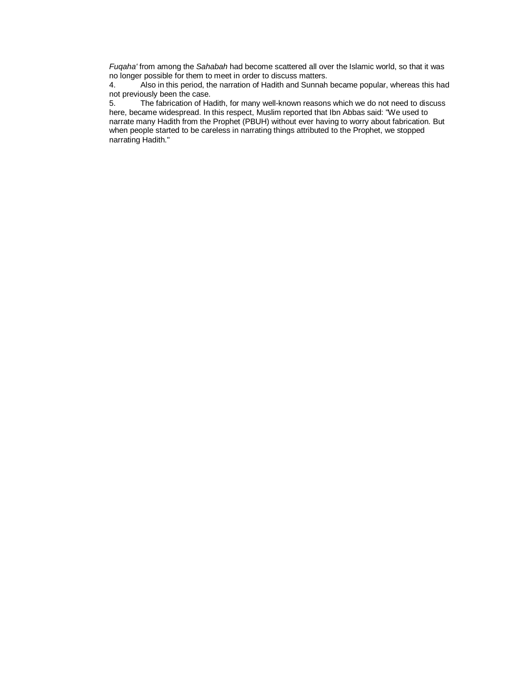Fuqaha' from among the Sahabah had become scattered all over the Islamic world, so that it was no longer possible for them to meet in order to discuss matters.<br>4. Also in this period, the narration of Hadith and Sunnah

4. Also in this period, the narration of Hadith and Sunnah became popular, whereas this had not previously been the case.

5. The fabrication of Hadith, for many well-known reasons which we do not need to discuss here, became widespread. In this respect, Muslim reported that Ibn Abbas said: "We used to narrate many Hadith from the Prophet (PBUH) without ever having to worry about fabrication. But when people started to be careless in narrating things attributed to the Prophet, we stopped narrating Hadith."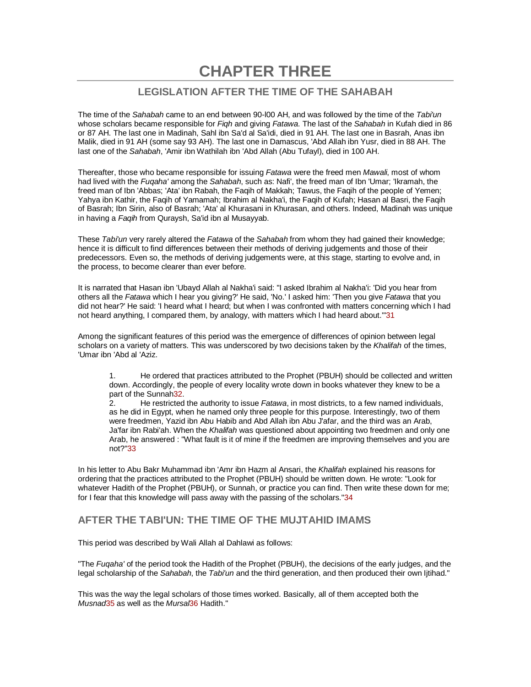**CHAPTER THREE** 

# **LEGISLATION AFTER THE TIME OF THE SAHABAH**

The time of the Sahabah came to an end between 90-l00 AH, and was followed by the time of the Tabi'un whose scholars became responsible for Figh and giving Fatawa. The last of the Sahabah in Kufah died in 86 or 87 AH. The last one in Madinah, Sahl ibn Sa'd al Sa'idi, died in 91 AH. The last one in Basrah, Anas ibn Malik, died in 91 AH (some say 93 AH). The last one in Damascus, 'Abd Allah ibn Yusr, died in 88 AH. The last one of the Sahabah, 'Amir ibn Wathilah ibn 'Abd Allah (Abu Tufayl), died in 100 AH.

Thereafter, those who became responsible for issuing Fatawa were the freed men Mawali, most of whom had lived with the *Fugaha'* among the Sahabah, such as: Nafi', the freed man of Ibn 'Umar; 'Ikramah, the freed man of Ibn 'Abbas; 'Ata' ibn Rabah, the Faqih of Makkah; Tawus, the Faqih of the people of Yemen; Yahya ibn Kathir, the Faqih of Yamamah; Ibrahim al Nakha'i, the Faqih of Kufah; Hasan al Basri, the Faqih of Basrah; Ibn Sirin, also of Basrah; 'Ata' al Khurasani in Khurasan, and others. Indeed, Madinah was unique in having a Faqih from Quraysh, Sa'id ibn al Musayyab.

These Tabi'un very rarely altered the Fatawa of the Sahabah from whom they had gained their knowledge; hence it is difficult to find differences between their methods of deriving judgements and those of their predecessors. Even so, the methods of deriving judgements were, at this stage, starting to evolve and, in the process, to become clearer than ever before.

It is narrated that Hasan ibn 'Ubayd Allah al Nakha'i said: "I asked Ibrahim al Nakha'i: 'Did you hear from others all the Fatawa which I hear you giving?' He said, 'No.' I asked him: 'Then you give Fatawa that you did not hear?' He said: 'I heard what I heard; but when I was confronted with matters concerning which I had not heard anything, I compared them, by analogy, with matters which I had heard about."31

Among the significant features of this period was the emergence of differences of opinion between legal scholars on a variety of matters. This was underscored by two decisions taken by the Khalifah of the times, 'Umar ibn 'Abd al 'Aziz.

1. He ordered that practices attributed to the Prophet (PBUH) should be collected and written down. Accordingly, the people of every locality wrote down in books whatever they knew to be a part of the Sunnah32.

2. He restricted the authority to issue Fatawa, in most districts, to a few named individuals, as he did in Egypt, when he named only three people for this purpose. Interestingly, two of them were freedmen, Yazid ibn Abu Habib and Abd Allah ibn Abu J'afar, and the third was an Arab, Ja'far ibn Rabi'ah. When the Khalifah was questioned about appointing two freedmen and only one Arab, he answered : "What fault is it of mine if the freedmen are improving themselves and you are not?"33

In his letter to Abu Bakr Muhammad ibn 'Amr ibn Hazm al Ansari, the Khalifah explained his reasons for ordering that the practices attributed to the Prophet (PBUH) should be written down. He wrote: "Look for whatever Hadith of the Prophet (PBUH), or Sunnah, or practice you can find. Then write these down for me; for I fear that this knowledge will pass away with the passing of the scholars."34

### **AFTER THE TABI'UN: THE TIME OF THE MUJTAHID IMAMS**

This period was described by Wali Allah al Dahlawi as follows:

"The Fugaha' of the period took the Hadith of the Prophet (PBUH), the decisions of the early judges, and the legal scholarship of the Sahabah, the Tabi'un and the third generation, and then produced their own litihad."

This was the way the legal scholars of those times worked. Basically, all of them accepted both the Musnad35 as well as the Mursal36 Hadith."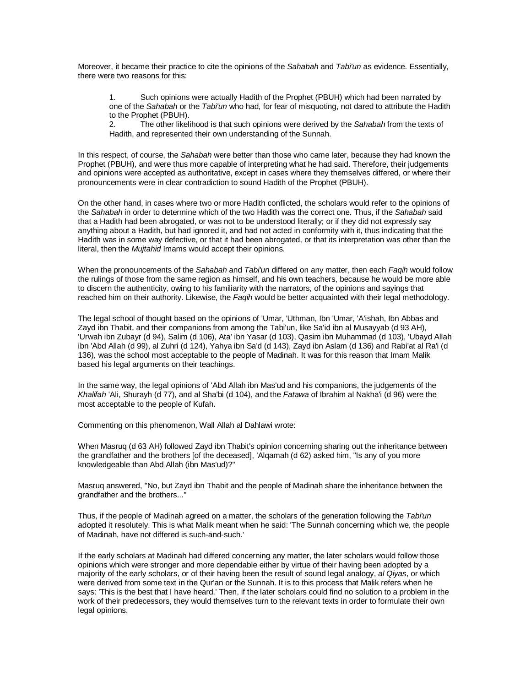Moreover, it became their practice to cite the opinions of the Sahabah and Tabi'un as evidence. Essentially, there were two reasons for this:

1. Such opinions were actually Hadith of the Prophet (PBUH) which had been narrated by one of the Sahabah or the Tabi'un who had, for fear of misquoting, not dared to attribute the Hadith to the Prophet (PBUH).

2. The other likelihood is that such opinions were derived by the Sahabah from the texts of Hadith, and represented their own understanding of the Sunnah.

In this respect, of course, the Sahabah were better than those who came later, because they had known the Prophet (PBUH), and were thus more capable of interpreting what he had said. Therefore, their judgements and opinions were accepted as authoritative, except in cases where they themselves differed, or where their pronouncements were in clear contradiction to sound Hadith of the Prophet (PBUH).

On the other hand, in cases where two or more Hadith conflicted, the scholars would refer to the opinions of the Sahabah in order to determine which of the two Hadith was the correct one. Thus, if the Sahabah said that a Hadith had been abrogated, or was not to be understood literally; or if they did not expressly say anything about a Hadith, but had ignored it, and had not acted in conformity with it, thus indicating that the Hadith was in some way defective, or that it had been abrogated, or that its interpretation was other than the literal, then the Mujtahid Imams would accept their opinions.

When the pronouncements of the Sahabah and Tabi'un differed on any matter, then each Faqih would follow the rulings of those from the same region as himself, and his own teachers, because he would be more able to discern the authenticity, owing to his familiarity with the narrators, of the opinions and sayings that reached him on their authority. Likewise, the Faqih would be better acquainted with their legal methodology.

The legal school of thought based on the opinions of 'Umar, 'Uthman, Ibn 'Umar, 'A'ishah, Ibn Abbas and Zayd ibn Thabit, and their companions from among the Tabi'un, like Sa'id ibn al Musayyab (d 93 AH), 'Urwah ibn Zubayr (d 94), Salim (d 106), Ata' ibn Yasar (d 103), Qasim ibn Muhammad (d 103), 'Ubayd Allah ibn 'Abd Allah (d 99), al Zuhri (d 124), Yahya ibn Sa'd (d 143), Zayd ibn Aslam (d 136) and Rabi'at al Ra'i (d 136), was the school most acceptable to the people of Madinah. It was for this reason that Imam Malik based his legal arguments on their teachings.

In the same way, the legal opinions of 'Abd Allah ibn Mas'ud and his companions, the judgements of the Khalifah 'Ali, Shurayh (d 77), and al Sha'bi (d 104), and the Fatawa of Ibrahim al Nakha'i (d 96) were the most acceptable to the people of Kufah.

Commenting on this phenomenon, Wall Allah al Dahlawi wrote:

When Masruq (d 63 AH) followed Zayd ibn Thabit's opinion concerning sharing out the inheritance between the grandfather and the brothers [of the deceased], 'Alqamah (d 62) asked him, "Is any of you more knowledgeable than Abd Allah (ibn Mas'ud)?"

Masruq answered, "No, but Zayd ibn Thabit and the people of Madinah share the inheritance between the grandfather and the brothers..."

Thus, if the people of Madinah agreed on a matter, the scholars of the generation following the Tabi'un adopted it resolutely. This is what Malik meant when he said: 'The Sunnah concerning which we, the people of Madinah, have not differed is such-and-such.'

If the early scholars at Madinah had differed concerning any matter, the later scholars would follow those opinions which were stronger and more dependable either by virtue of their having been adopted by a majority of the early scholars, or of their having been the result of sound legal analogy, al Qiyas, or which were derived from some text in the Qur'an or the Sunnah. It is to this process that Malik refers when he says: 'This is the best that I have heard.' Then, if the later scholars could find no solution to a problem in the work of their predecessors, they would themselves turn to the relevant texts in order to formulate their own legal opinions.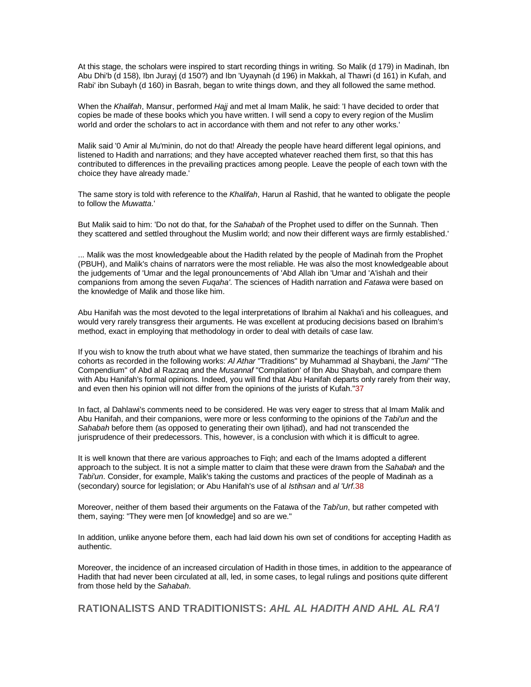At this stage, the scholars were inspired to start recording things in writing. So Malik (d 179) in Madinah, Ibn Abu Dhi'b (d 158), Ibn Jurayj (d 150?) and Ibn 'Uyaynah (d 196) in Makkah, al Thawri (d 161) in Kufah, and Rabi' ibn Subayh (d 160) in Basrah, began to write things down, and they all followed the same method.

When the Khalifah, Mansur, performed Hajj and met al Imam Malik, he said: 'I have decided to order that copies be made of these books which you have written. I will send a copy to every region of the Muslim world and order the scholars to act in accordance with them and not refer to any other works.'

Malik said '0 Amir al Mu'minin, do not do that! Already the people have heard different legal opinions, and listened to Hadith and narrations; and they have accepted whatever reached them first, so that this has contributed to differences in the prevailing practices among people. Leave the people of each town with the choice they have already made.'

The same story is told with reference to the Khalifah, Harun al Rashid, that he wanted to obligate the people to follow the Muwatta.'

But Malik said to him: 'Do not do that, for the Sahabah of the Prophet used to differ on the Sunnah. Then they scattered and settled throughout the Muslim world; and now their different ways are firmly established.'

... Malik was the most knowledgeable about the Hadith related by the people of Madinah from the Prophet (PBUH), and Malik's chains of narrators were the most reliable. He was also the most knowledgeable about the judgements of 'Umar and the legal pronouncements of 'Abd Allah ibn 'Umar and 'A'ishah and their companions from among the seven Fuqaha'. The sciences of Hadith narration and Fatawa were based on the knowledge of Malik and those like him.

Abu Hanifah was the most devoted to the legal interpretations of Ibrahim al Nakha'i and his colleagues, and would very rarely transgress their arguments. He was excellent at producing decisions based on Ibrahim's method, exact in employing that methodology in order to deal with details of case law.

If you wish to know the truth about what we have stated, then summarize the teachings of Ibrahim and his cohorts as recorded in the following works: Al Athar "Traditions" by Muhammad al Shaybani, the Jami' "The Compendium" of Abd al Razzaq and the Musannaf "Compilation' of Ibn Abu Shaybah, and compare them with Abu Hanifah's formal opinions. Indeed, you will find that Abu Hanifah departs only rarely from their way, and even then his opinion will not differ from the opinions of the jurists of Kufah."37

In fact, al Dahlawi's comments need to be considered. He was very eager to stress that al Imam Malik and Abu Hanifah, and their companions, were more or less conforming to the opinions of the Tabi'un and the Sahabah before them (as opposed to generating their own Ijtihad), and had not transcended the jurisprudence of their predecessors. This, however, is a conclusion with which it is difficult to agree.

It is well known that there are various approaches to Fiqh; and each of the Imams adopted a different approach to the subject. It is not a simple matter to claim that these were drawn from the Sahabah and the Tabi'un. Consider, for example, Malik's taking the customs and practices of the people of Madinah as a (secondary) source for legislation; or Abu Hanifah's use of al Istihsan and al 'Urf.38

Moreover, neither of them based their arguments on the Fatawa of the Tabi'un, but rather competed with them, saying: "They were men [of knowledge] and so are we."

In addition, unlike anyone before them, each had laid down his own set of conditions for accepting Hadith as authentic.

Moreover, the incidence of an increased circulation of Hadith in those times, in addition to the appearance of Hadith that had never been circulated at all, led, in some cases, to legal rulings and positions quite different from those held by the Sahabah.

**RATIONALISTS AND TRADITIONISTS: AHL AL HADITH AND AHL AL RA'I**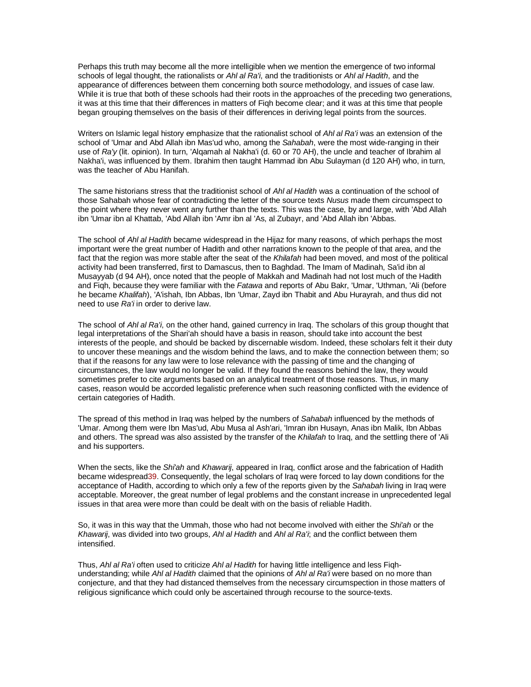Perhaps this truth may become all the more intelligible when we mention the emergence of two informal schools of legal thought, the rationalists or Ahl al Ra'i, and the traditionists or Ahl al Hadith, and the appearance of differences between them concerning both source methodology, and issues of case law. While it is true that both of these schools had their roots in the approaches of the preceding two generations, it was at this time that their differences in matters of Fiqh become clear; and it was at this time that people began grouping themselves on the basis of their differences in deriving legal points from the sources.

Writers on Islamic legal history emphasize that the rationalist school of Ahl al Ra'i was an extension of the school of 'Umar and Abd Allah ibn Mas'ud who, among the Sahabah, were the most wide-ranging in their use of Ra'y (lit. opinion). In turn, 'Alqamah al Nakha'i (d. 60 or 70 AH), the uncle and teacher of Ibrahim al Nakha'i, was influenced by them. Ibrahim then taught Hammad ibn Abu Sulayman (d 120 AH) who, in turn, was the teacher of Abu Hanifah.

The same historians stress that the traditionist school of Ahl al Hadith was a continuation of the school of those Sahabah whose fear of contradicting the letter of the source texts Nusus made them circumspect to the point where they never went any further than the texts. This was the case, by and large, with 'Abd Allah ibn 'Umar ibn al Khattab, 'Abd Allah ibn 'Amr ibn al 'As, al Zubayr, and 'Abd Allah ibn 'Abbas.

The school of Ahl al Hadith became widespread in the Hijaz for many reasons, of which perhaps the most important were the great number of Hadith and other narrations known to the people of that area, and the fact that the region was more stable after the seat of the Khilafah had been moved, and most of the political activity had been transferred, first to Damascus, then to Baghdad. The Imam of Madinah, Sa'id ibn al Musayyab (d 94 AH), once noted that the people of Makkah and Madinah had not lost much of the Hadith and Figh, because they were familiar with the Fatawa and reports of Abu Bakr, 'Umar, 'Uthman, 'Ali (before he became Khalifah), 'A'ishah, Ibn Abbas, Ibn 'Umar, Zayd ibn Thabit and Abu Hurayrah, and thus did not need to use Ra'i in order to derive law.

The school of Ahl al Ra'i, on the other hand, gained currency in Iraq. The scholars of this group thought that legal interpretations of the Shari'ah should have a basis in reason, should take into account the best interests of the people, and should be backed by discernable wisdom. Indeed, these scholars felt it their duty to uncover these meanings and the wisdom behind the laws, and to make the connection between them; so that if the reasons for any law were to lose relevance with the passing of time and the changing of circumstances, the law would no longer be valid. If they found the reasons behind the law, they would sometimes prefer to cite arguments based on an analytical treatment of those reasons. Thus, in many cases, reason would be accorded legalistic preference when such reasoning conflicted with the evidence of certain categories of Hadith.

The spread of this method in Iraq was helped by the numbers of Sahabah influenced by the methods of 'Umar. Among them were Ibn Mas'ud, Abu Musa al Ash'ari, 'Imran ibn Husayn, Anas ibn Malik, Ibn Abbas and others. The spread was also assisted by the transfer of the Khilafah to Iraq, and the settling there of 'Ali and his supporters.

When the sects, like the Shi'ah and Khawarij, appeared in Iraq, conflict arose and the fabrication of Hadith became widespread39. Consequently, the legal scholars of Iraq were forced to lay down conditions for the acceptance of Hadith, according to which only a few of the reports given by the Sahabah living in Iraq were acceptable. Moreover, the great number of legal problems and the constant increase in unprecedented legal issues in that area were more than could be dealt with on the basis of reliable Hadith.

So, it was in this way that the Ummah, those who had not become involved with either the Shi'ah or the Khawarij, was divided into two groups, Ahl al Hadith and Ahl al Ra'i; and the conflict between them intensified.

Thus, Ahl al Ra'i often used to criticize Ahl al Hadith for having little intelligence and less Fighunderstanding; while Ahl al Hadith claimed that the opinions of Ahl al Ra'i were based on no more than conjecture, and that they had distanced themselves from the necessary circumspection in those matters of religious significance which could only be ascertained through recourse to the source-texts.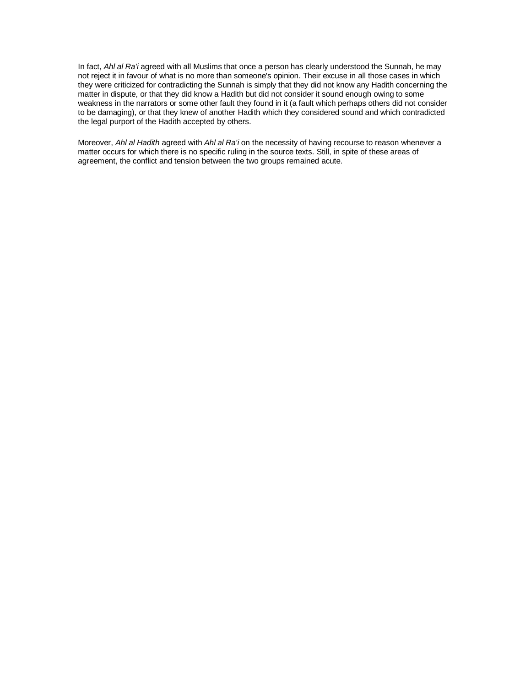In fact, Ahl al Ra'i agreed with all Muslims that once a person has clearly understood the Sunnah, he may not reject it in favour of what is no more than someone's opinion. Their excuse in all those cases in which they were criticized for contradicting the Sunnah is simply that they did not know any Hadith concerning the matter in dispute, or that they did know a Hadith but did not consider it sound enough owing to some weakness in the narrators or some other fault they found in it (a fault which perhaps others did not consider to be damaging), or that they knew of another Hadith which they considered sound and which contradicted the legal purport of the Hadith accepted by others.

Moreover, Ahl al Hadith agreed with Ahl al Ra'i on the necessity of having recourse to reason whenever a matter occurs for which there is no specific ruling in the source texts. Still, in spite of these areas of agreement, the conflict and tension between the two groups remained acute.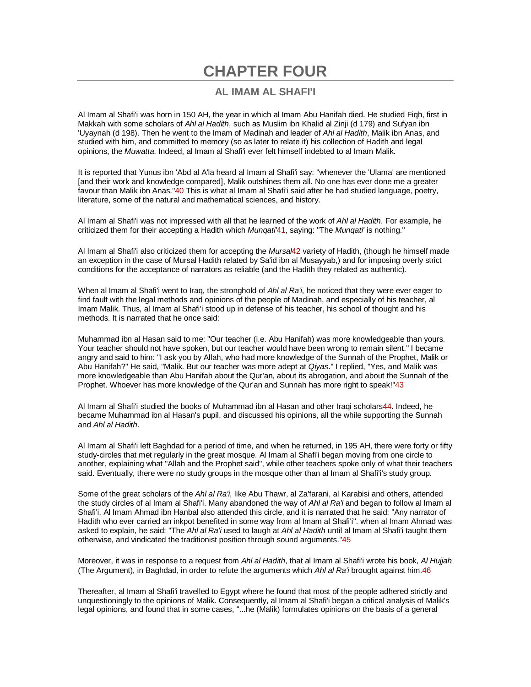# **CHAPTER FOUR**

### **AL IMAM AL SHAFI'I**

Al Imam al Shafi'i was horn in 150 AH, the year in which al Imam Abu Hanifah died. He studied Fiqh, first in Makkah with some scholars of Ahl al Hadith, such as Muslim ibn Khalid al Zinji (d 179) and Sufyan ibn 'Uyaynah (d 198). Then he went to the Imam of Madinah and leader of Ahl al Hadith, Malik ibn Anas, and studied with him, and committed to memory (so as later to relate it) his collection of Hadith and legal opinions, the *Muwatta*, Indeed, al Imam al Shafi'i ever felt himself indebted to al Imam Malik.

It is reported that Yunus ibn 'Abd al A'la heard al Imam al Shafi'i say: "whenever the 'Ulama' are mentioned [and their work and knowledge compared], Malik outshines them all. No one has ever done me a greater favour than Malik ibn Anas."40 This is what al Imam al Shafi'i said after he had studied language, poetry, literature, some of the natural and mathematical sciences, and history.

Al Imam al Shafi'i was not impressed with all that he learned of the work of Ahl al Hadith. For example, he criticized them for their accepting a Hadith which Mungati'41, saying: "The Mungati' is nothing."

AI Imam al Shafi'i also criticized them for accepting the Mursal42 variety of Hadith, (though he himself made an exception in the case of Mursal Hadith related by Sa'id ibn al Musayyab,) and for imposing overly strict conditions for the acceptance of narrators as reliable (and the Hadith they related as authentic).

When al Imam al Shafi'i went to Iraq, the stronghold of Ahl al Ra'i, he noticed that they were ever eager to find fault with the legal methods and opinions of the people of Madinah, and especially of his teacher, al Imam Malik. Thus, al Imam al Shafi'i stood up in defense of his teacher, his school of thought and his methods. It is narrated that he once said:

Muhammad ibn al Hasan said to me: "Our teacher (i.e. Abu Hanifah) was more knowledgeable than yours. Your teacher should not have spoken, but our teacher would have been wrong to remain silent." I became angry and said to him: "I ask you by Allah, who had more knowledge of the Sunnah of the Prophet, Malik or Abu Hanifah?" He said, "Malik. But our teacher was more adept at Qiyas." I replied, "Yes, and Malik was more knowledgeable than Abu Hanifah about the Qur'an, about its abrogation, and about the Sunnah of the Prophet. Whoever has more knowledge of the Qur'an and Sunnah has more right to speak!"43

Al Imam al Shafi'i studied the books of Muhammad ibn al Hasan and other Iraqi scholars44. Indeed, he became Muhammad ibn al Hasan's pupil, and discussed his opinions, all the while supporting the Sunnah and Ahl al Hadith.

Al Imam al Shafi'i left Baghdad for a period of time, and when he returned, in 195 AH, there were forty or fifty study-circles that met regularly in the great mosque. Al Imam al Shafi'i began moving from one circle to another, explaining what "Allah and the Prophet said", while other teachers spoke only of what their teachers said. Eventually, there were no study groups in the mosque other than al Imam al Shafi'i's study group.

Some of the great scholars of the Ahl al Ra'i, like Abu Thawr, al Za'farani, al Karabisi and others, attended the study circles of al Imam al Shafi'i. Many abandoned the way of Ahl al Ra'i and began to follow al Imam al Shafi'i. Al Imam Ahmad ibn Hanbal also attended this circle, and it is narrated that he said: "Any narrator of Hadith who ever carried an inkpot benefited in some way from al Imam al Shafi'i". when al Imam Ahmad was asked to explain, he said: "The Ahl al Ra'i used to laugh at Ahl al Hadith until al Imam al Shafi'i taught them otherwise, and vindicated the traditionist position through sound arguments."45

Moreover, it was in response to a request from Ahl al Hadith, that al Imam al Shafi'i wrote his book, Al Hujjah (The Argument), in Baghdad, in order to refute the arguments which Ahl al Ra'i brought against him.46

Thereafter, al Imam al Shafi'i travelled to Egypt where he found that most of the people adhered strictly and unquestioningly to the opinions of Malik. Consequently, al Imam al Shafi'i began a critical analysis of Malik's legal opinions, and found that in some cases, "...he (Malik) formulates opinions on the basis of a general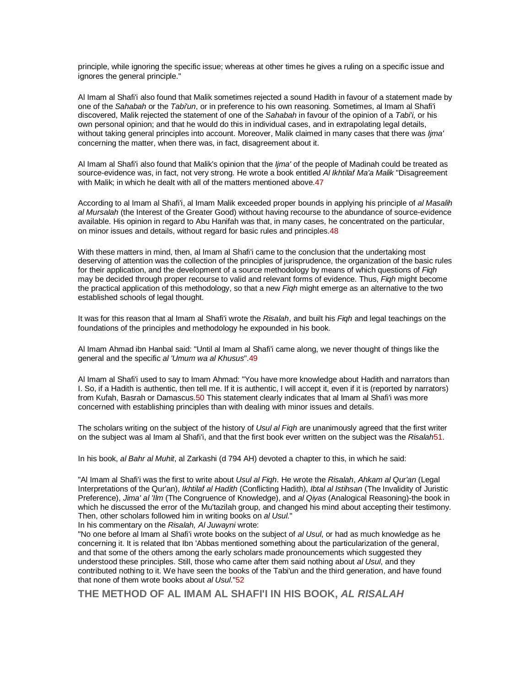principle, while ignoring the specific issue; whereas at other times he gives a ruling on a specific issue and ignores the general principle."

Al Imam al Shafi'i also found that Malik sometimes rejected a sound Hadith in favour of a statement made by one of the Sahabah or the Tabi'un, or in preference to his own reasoning. Sometimes, al Imam al Shafi'i discovered, Malik rejected the statement of one of the Sahabah in favour of the opinion of a Tabi'i, or his own personal opinion; and that he would do this in individual cases, and in extrapolating legal details, without taking general principles into account. Moreover, Malik claimed in many cases that there was Ijma' concerning the matter, when there was, in fact, disagreement about it.

Al Imam al Shafi'i also found that Malik's opinion that the *lima'* of the people of Madinah could be treated as source-evidence was, in fact, not very strong. He wrote a book entitled AI Ikhtilaf Ma'a Malik "Disagreement with Malik; in which he dealt with all of the matters mentioned above. 47

According to al Imam al Shafi'i, al Imam Malik exceeded proper bounds in applying his principle of al Masalih al Mursalah (the Interest of the Greater Good) without having recourse to the abundance of source-evidence available. His opinion in regard to Abu Hanifah was that, in many cases, he concentrated on the particular, on minor issues and details, without regard for basic rules and principles.48

With these matters in mind, then, al Imam al Shafi'i came to the conclusion that the undertaking most deserving of attention was the collection of the principles of jurisprudence, the organization of the basic rules for their application, and the development of a source methodology by means of which questions of Figh may be decided through proper recourse to valid and relevant forms of evidence. Thus, Figh might become the practical application of this methodology, so that a new Figh might emerge as an alternative to the two established schools of legal thought.

It was for this reason that al Imam al Shafi'i wrote the Risalah, and built his Figh and legal teachings on the foundations of the principles and methodology he expounded in his book.

Al Imam Ahmad ibn Hanbal said: "Until al Imam al Shafi'i came along, we never thought of things like the general and the specific al 'Umum wa al Khusus".49

Al Imam al Shafi'i used to say to Imam Ahmad: "You have more knowledge about Hadith and narrators than I. So, if a Hadith is authentic, then tell me. If it is authentic, I will accept it, even if it is (reported by narrators) from Kufah, Basrah or Damascus.50 This statement clearly indicates that al Imam al Shafi'i was more concerned with establishing principles than with dealing with minor issues and details.

The scholars writing on the subject of the history of Usul al Figh are unanimously agreed that the first writer on the subject was al Imam al Shafi'i, and that the first book ever written on the subject was the Risalah51.

In his book, al Bahr al Muhit, al Zarkashi (d 794 AH) devoted a chapter to this, in which he said:

"Al Imam al Shafi'i was the first to write about Usul al Figh. He wrote the Risalah, Ahkam al Qur'an (Legal Interpretations of the Qur'an), Ikhtilaf al Hadith (Conflicting Hadith), Ibtal al Istihsan (The Invalidity of Juristic Preference), Jima' al 'Ilm (The Congruence of Knowledge), and al Qiyas (Analogical Reasoning)-the book in which he discussed the error of the Mu'tazilah group, and changed his mind about accepting their testimony. Then, other scholars followed him in writing books on al Usul."

In his commentary on the Risalah, Al Juwayni wrote:

"No one before al Imam al Shafi'i wrote books on the subject of al Usul, or had as much knowledge as he concerning it. It is related that Ibn 'Abbas mentioned something about the particularization of the general, and that some of the others among the early scholars made pronouncements which suggested they understood these principles. Still, those who came after them said nothing about al Usul, and they contributed nothing to it. We have seen the books of the Tabi'un and the third generation, and have found that none of them wrote books about al Usul."52

**THE METHOD OF AL IMAM AL SHAFI'I IN HIS BOOK, AL RISALAH**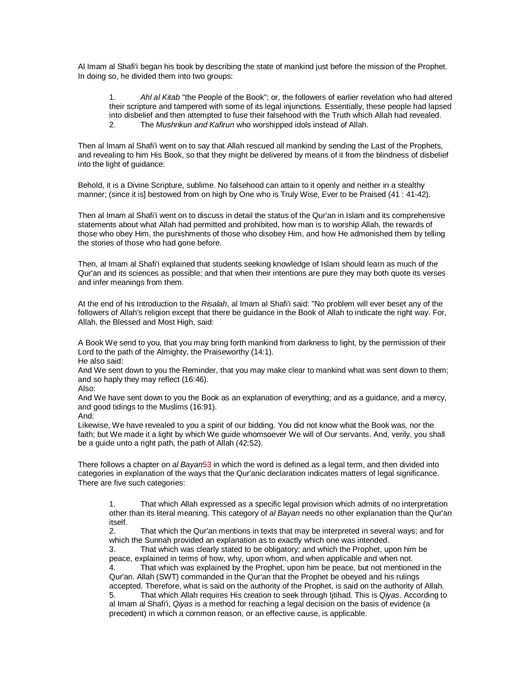Al Imam al Shafi'i began his book by describing the state of mankind just before the mission of the Prophet. In doing so, he divided them into two groups:

1. Ahl al Kitab "the People of the Book"; or, the followers of earlier revelation who had altered their scripture and tampered with some of its legal injunctions. Essentially, these people had lapsed into disbelief and then attempted to fuse their falsehood with the Truth which Allah had revealed. 2. The Mushrikun and Kafirun who worshipped idols instead of Allah.

Then al Imam al Shafi'i went on to say that Allah rescued all mankind by sending the Last of the Prophets, and revealing to him His Book, so that they might be delivered by means of it from the blindness of disbelief into the light of guidance:

Behold, it is a Divine Scripture, sublime. No falsehood can attain to it openly and neither in a stealthy manner; (since it is] bestowed from on high by One who is Truly Wise, Ever to be Praised (41 : 41-42).

Then al Imam al Shafi'i went on to discuss in detail the status of the Qur'an in Islam and its comprehensive statements about what Allah had permitted and prohibited, how man is to worship Allah, the rewards of those who obey Him, the punishments of those who disobey Him, and how He admonished them by telling the stories of those who had gone before.

Then, al Imam al Shafi'i explained that students seeking knowledge of Islam should learn as much of the Qur'an and its sciences as possible; and that when their intentions are pure they may both quote its verses and infer meanings from them.

At the end of his Introduction to the Risalah, al Imam al Shafi'i said: "No problem will ever beset any of the followers of Allah's religion except that there be guidance in the Book of Allah to indicate the right way. For, Allah, the Blessed and Most High, said:

A Book We send to you, that you may bring forth mankind from darkness to light, by the permission of their Lord to the path of the Almighty, the Praiseworthy (14:1).

He also said:

And We sent down to you the Reminder, that you may make clear to mankind what was sent down to them; and so haply they may reflect (16:46).

Also:

And We have sent down to you the Book as an explanation of everything; and as a guidance, and a mercy, and good tidings to the Muslims (16:91).

And:

Likewise, We have revealed to you a spirit of our bidding. You did not know what the Book was, nor the faith; but We made it a light by which We guide whomsoever We will of Our servants. And, verily, you shall be a guide unto a right path, the path of Allah (42:52).

There follows a chapter on al Bayan53 in which the word is defined as a legal term, and then divided into categories in explanation of the ways that the Qur'anic declaration indicates matters of legal significance. There are five such categories:

1. That which Allah expressed as a specific legal provision which admits of no interpretation other than its literal meaning. This category of al Bayan needs no other explanation than the Qur'an itself.

2. That which the Qur'an mentions in texts that may be interpreted in several ways; and for which the Sunnah provided an explanation as to exactly which one was intended.

3. That which was clearly stated to be obligatory; and which the Prophet, upon him be peace, explained in terms of how, why, upon whom, and when applicable and when not. That which was explained by the Prophet, upon him be peace, but not mentioned in the Qur'an. Allah (SWT) commanded in the Qur'an that the Prophet be obeyed and his rulings accepted. Therefore, what is said on the authority of the Prophet, is said on the authority of Allah. 5. That which Allah requires His creation to seek through Ijtihad. This is Qiyas. According to al Imam al Shafi'i, Qiyas is a method for reaching a legal decision on the basis of evidence (a precedent) in which a common reason, or an effective cause, is applicable.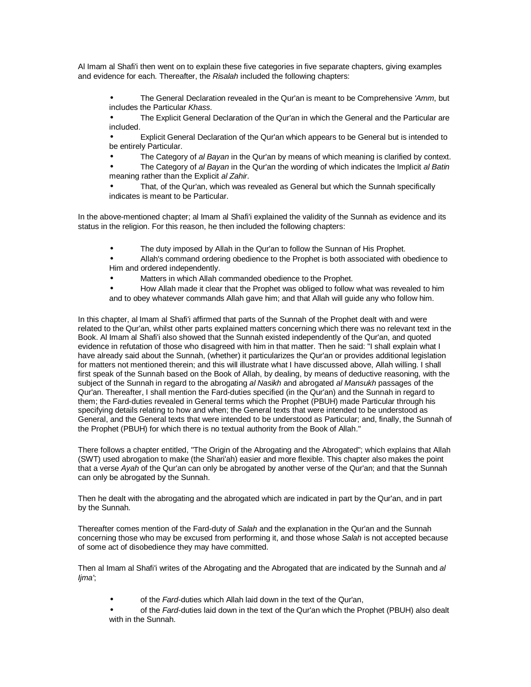Al Imam al Shafi'i then went on to explain these five categories in five separate chapters, giving examples and evidence for each. Thereafter, the Risalah included the following chapters:

The General Declaration revealed in the Qur'an is meant to be Comprehensive 'Amm, but includes the Particular Khass.

• The Explicit General Declaration of the Qur'an in which the General and the Particular are included.

• Explicit General Declaration of the Qur'an which appears to be General but is intended to be entirely Particular.

The Category of al Bayan in the Qur'an by means of which meaning is clarified by context.

The Category of al Bayan in the Qur'an the wording of which indicates the Implicit al Batin meaning rather than the Explicit al Zahir.

• That, of the Qur'an, which was revealed as General but which the Sunnah specifically indicates is meant to be Particular.

In the above-mentioned chapter; al Imam al Shafi'i explained the validity of the Sunnah as evidence and its status in the religion. For this reason, he then included the following chapters:

The duty imposed by Allah in the Qur'an to follow the Sunnan of His Prophet.

• Allah's command ordering obedience to the Prophet is both associated with obedience to Him and ordered independently.

• Matters in which Allah commanded obedience to the Prophet.

• How Allah made it clear that the Prophet was obliged to follow what was revealed to him and to obey whatever commands Allah gave him; and that Allah will guide any who follow him.

In this chapter, al Imam al Shafi'i affirmed that parts of the Sunnah of the Prophet dealt with and were related to the Qur'an, whilst other parts explained matters concerning which there was no relevant text in the Book. Al Imam al Shafi'i also showed that the Sunnah existed independently of the Qur'an, and quoted evidence in refutation of those who disagreed with him in that matter. Then he said: "I shall explain what I have already said about the Sunnah, (whether) it particularizes the Qur'an or provides additional legislation for matters not mentioned therein; and this will illustrate what I have discussed above, Allah willing. I shall first speak of the Sunnah based on the Book of Allah, by dealing, by means of deductive reasoning, with the subject of the Sunnah in regard to the abrogating al Nasikh and abrogated al Mansukh passages of the Qur'an. Thereafter, I shall mention the Fard-duties specified (in the Qur'an) and the Sunnah in regard to them; the Fard-duties revealed in General terms which the Prophet (PBUH) made Particular through his specifying details relating to how and when; the General texts that were intended to be understood as General, and the General texts that were intended to be understood as Particular; and, finally, the Sunnah of the Prophet (PBUH) for which there is no textual authority from the Book of Allah."

There follows a chapter entitled, "The Origin of the Abrogating and the Abrogated"; which explains that Allah (SWT) used abrogation to make (the Shari'ah) easier and more flexible. This chapter also makes the point that a verse Ayah of the Qur'an can only be abrogated by another verse of the Qur'an; and that the Sunnah can only be abrogated by the Sunnah.

Then he dealt with the abrogating and the abrogated which are indicated in part by the Qur'an, and in part by the Sunnah.

Thereafter comes mention of the Fard-duty of Salah and the explanation in the Qur'an and the Sunnah concerning those who may be excused from performing it, and those whose Salah is not accepted because of some act of disobedience they may have committed.

Then al Imam al Shafi'i writes of the Abrogating and the Abrogated that are indicated by the Sunnah and al Ijma';

- of the Fard-duties which Allah laid down in the text of the Qur'an,
- of the Fard-duties laid down in the text of the Qur'an which the Prophet (PBUH) also dealt with in the Sunnah.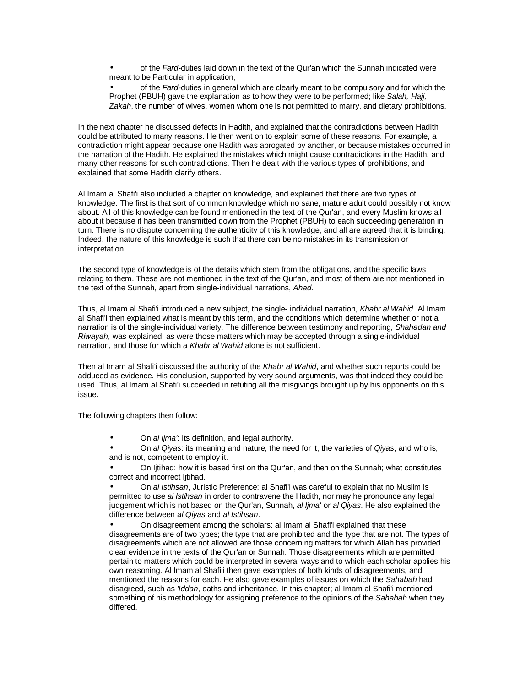of the Fard-duties laid down in the text of the Qur'an which the Sunnah indicated were meant to be Particular in application,

of the Fard-duties in general which are clearly meant to be compulsory and for which the Prophet (PBUH) gave the explanation as to how they were to be performed; like Salah, Hajj, Zakah, the number of wives, women whom one is not permitted to marry, and dietary prohibitions.

In the next chapter he discussed defects in Hadith, and explained that the contradictions between Hadith could be attributed to many reasons. He then went on to explain some of these reasons. For example, a contradiction might appear because one Hadith was abrogated by another, or because mistakes occurred in the narration of the Hadith. He explained the mistakes which might cause contradictions in the Hadith, and many other reasons for such contradictions. Then he dealt with the various types of prohibitions, and explained that some Hadith clarify others.

Al Imam al Shafi'i also included a chapter on knowledge, and explained that there are two types of knowledge. The first is that sort of common knowledge which no sane, mature adult could possibly not know about. All of this knowledge can be found mentioned in the text of the Qur'an, and every Muslim knows all about it because it has been transmitted down from the Prophet (PBUH) to each succeeding generation in turn. There is no dispute concerning the authenticity of this knowledge, and all are agreed that it is binding. Indeed, the nature of this knowledge is such that there can be no mistakes in its transmission or interpretation.

The second type of knowledge is of the details which stem from the obligations, and the specific laws relating to them. These are not mentioned in the text of the Qur'an, and most of them are not mentioned in the text of the Sunnah, apart from single-individual narrations, Ahad.

Thus, al Imam al Shafi'i introduced a new subject, the single- individual narration, Khabr al Wahid. Al Imam al Shafi'i then explained what is meant by this term, and the conditions which determine whether or not a narration is of the single-individual variety. The difference between testimony and reporting, Shahadah and Riwayah, was explained; as were those matters which may be accepted through a single-individual narration, and those for which a Khabr al Wahid alone is not sufficient.

Then al Imam al Shafi'i discussed the authority of the Khabr al Wahid, and whether such reports could be adduced as evidence. His conclusion, supported by very sound arguments, was that indeed they could be used. Thus, al Imam al Shafi'i succeeded in refuting all the misgivings brought up by his opponents on this issue.

The following chapters then follow:

On al lima': its definition, and legal authority.

On al Qiyas: its meaning and nature, the need for it, the varieties of Qiyas, and who is, and is not, competent to employ it.

• On Ijtihad: how it is based first on the Qur'an, and then on the Sunnah; what constitutes correct and incorrect Ijtihad.

• On al Istihsan, Juristic Preference: al Shafi'i was careful to explain that no Muslim is permitted to use al Istihsan in order to contravene the Hadith, nor may he pronounce any legal judgement which is not based on the Qur'an, Sunnah, al Ijma' or al Qiyas. He also explained the difference between al Qiyas and al Istihsan.

• On disagreement among the scholars: al Imam al Shafi'i explained that these disagreements are of two types; the type that are prohibited and the type that are not. The types of disagreements which are not allowed are those concerning matters for which Allah has provided clear evidence in the texts of the Qur'an or Sunnah. Those disagreements which are permitted pertain to matters which could be interpreted in several ways and to which each scholar applies his own reasoning. Al Imam al Shafi'i then gave examples of both kinds of disagreements, and mentioned the reasons for each. He also gave examples of issues on which the Sahabah had disagreed, such as 'Iddah, oaths and inheritance. In this chapter; al Imam al Shafi'i mentioned something of his methodology for assigning preference to the opinions of the Sahabah when they differed.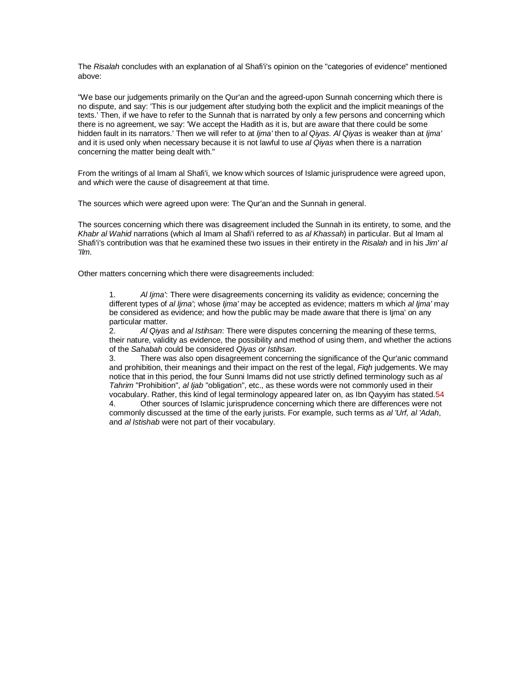The Risalah concludes with an explanation of al Shafi'i's opinion on the "categories of evidence" mentioned above:

"We base our judgements primarily on the Qur'an and the agreed-upon Sunnah concerning which there is no dispute, and say: 'This is our judgement after studying both the explicit and the implicit meanings of the texts.' Then, if we have to refer to the Sunnah that is narrated by only a few persons and concerning which there is no agreement, we say: 'We accept the Hadith as it is, but are aware that there could be some hidden fault in its narrators.' Then we will refer to at Ijma' then to al Qiyas. Al Qiyas is weaker than at Ijma' and it is used only when necessary because it is not lawful to use al Qiyas when there is a narration concerning the matter being dealt with."

From the writings of al Imam al Shafi'i, we know which sources of Islamic jurisprudence were agreed upon, and which were the cause of disagreement at that time.

The sources which were agreed upon were: The Qur'an and the Sunnah in general.

The sources concerning which there was disagreement included the Sunnah in its entirety, to some, and the Khabr al Wahid narrations (which al Imam al Shafi'i referred to as al Khassah) in particular. But al Imam al Shafi'i's contribution was that he examined these two issues in their entirety in the Risalah and in his Jim' al 'Ilm.

Other matters concerning which there were disagreements included:

1. Al Ijma': There were disagreements concerning its validity as evidence; concerning the different types of al lima'; whose lima' may be accepted as evidence; matters m which al lima' may be considered as evidence; and how the public may be made aware that there is Ijma' on any particular matter.

2. Al Qiyas and al Istihsan: There were disputes concerning the meaning of these terms, their nature, validity as evidence, the possibility and method of using them, and whether the actions of the Sahabah could be considered Qiyas or Istihsan.

3. There was also open disagreement concerning the significance of the Qur'anic command and prohibition, their meanings and their impact on the rest of the legal, Fiqh judgements. We may notice that in this period, the four Sunni Imams did not use strictly defined terminology such as all Tahrim "Prohibition", al Ijab "obligation", etc., as these words were not commonly used in their vocabulary. Rather, this kind of legal terminology appeared later on, as Ibn Qayyim has stated.54

4. Other sources of Islamic jurisprudence concerning which there are differences were not commonly discussed at the time of the early jurists. For example, such terms as al 'Urf, al 'Adah, and al Istishab were not part of their vocabulary.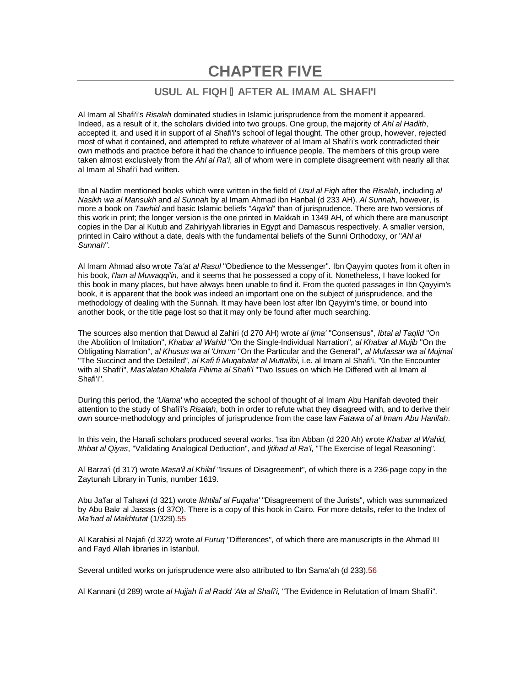# **CHAPTER FIVE**

## **USUL AL FIQH AFTER AL IMAM AL SHAFI'I**

Al Imam al Shafi'i's Risalah dominated studies in Islamic jurisprudence from the moment it appeared. Indeed, as a result of it, the scholars divided into two groups. One group, the majority of Ahl al Hadith, accepted it, and used it in support of al Shafi'i's school of legal thought. The other group, however, rejected most of what it contained, and attempted to refute whatever of al Imam al Shafi'i's work contradicted their own methods and practice before it had the chance to influence people. The members of this group were taken almost exclusively from the Ahl al Ra'i, all of whom were in complete disagreement with nearly all that al Imam al Shafi'i had written.

Ibn al Nadim mentioned books which were written in the field of Usul al Figh after the Risalah, including al Nasikh wa al Mansukh and al Sunnah by al Imam Ahmad ibn Hanbal (d 233 AH). Al Sunnah, however, is more a book on *Tawhid* and basic Islamic beliefs "Aga'id" than of jurisprudence. There are two versions of this work in print; the longer version is the one printed in Makkah in 1349 AH, of which there are manuscript copies in the Dar al Kutub and Zahiriyyah libraries in Egypt and Damascus respectively. A smaller version, printed in Cairo without a date, deals with the fundamental beliefs of the Sunni Orthodoxy, or "Ahl all Sunnah".

Al Imam Ahmad also wrote Ta'at al Rasul "Obedience to the Messenger". Ibn Qayyim quotes from it often in his book, I'lam al Muwaqqi'in, and it seems that he possessed a copy of it. Nonetheless, I have looked for this book in many places, but have always been unable to find it. From the quoted passages in Ibn Qayyim's book, it is apparent that the book was indeed an important one on the subject of jurisprudence, and the methodology of dealing with the Sunnah. It may have been lost after Ibn Qayyim's time, or bound into another book, or the title page lost so that it may only be found after much searching.

The sources also mention that Dawud al Zahiri (d 270 AH) wrote al Ijma' "Consensus", Ibtal al Taqlid "On the Abolition of Imitation", Khabar al Wahid "On the Single-Individual Narration", al Khabar al Mujib "On the Obligating Narration", al Khusus wa al 'Umum "On the Particular and the General", al Mufassar wa al Mujmal "The Succinct and the Detailed", al Kafi fi Mugabalat al Muttalibi, i.e. al Imam al Shafi'i, "0n the Encounter with al Shafi'i", Mas'alatan Khalafa Fihima al Shafi'i "Two Issues on which He Differed with al Imam al Shafi'i".

During this period, the 'Ulama' who accepted the school of thought of al Imam Abu Hanifah devoted their attention to the study of Shafi'i's Risalah, both in order to refute what they disagreed with, and to derive their own source-methodology and principles of jurisprudence from the case law Fatawa of al Imam Abu Hanifah.

In this vein, the Hanafi scholars produced several works. 'Isa ibn Abban (d 220 Ah) wrote Khabar al Wahid, Ithbat al Qiyas, "Validating Analogical Deduction", and Ijtihad al Ra'i, "The Exercise of legal Reasoning".

Al Barza'i (d 317) wrote Masa'il al Khilaf "Issues of Disagreement", of which there is a 236-page copy in the Zaytunah Library in Tunis, number 1619.

Abu Ja'far al Tahawi (d 321) wrote Ikhtilaf al Fuqaha' "Disagreement of the Jurists", which was summarized by Abu Bakr al Jassas (d 37O). There is a copy of this hook in Cairo. For more details, refer to the Index of Ma'had al Makhtutat (1/329).55

Al Karabisi al Najafi (d 322) wrote al Furuq "Differences", of which there are manuscripts in the Ahmad III and Fayd Allah libraries in Istanbul.

Several untitled works on jurisprudence were also attributed to Ibn Sama'ah (d 233).56

Al Kannani (d 289) wrote al Hujjah fi al Radd 'Ala al Shafi'i, "The Evidence in Refutation of Imam Shafi'i".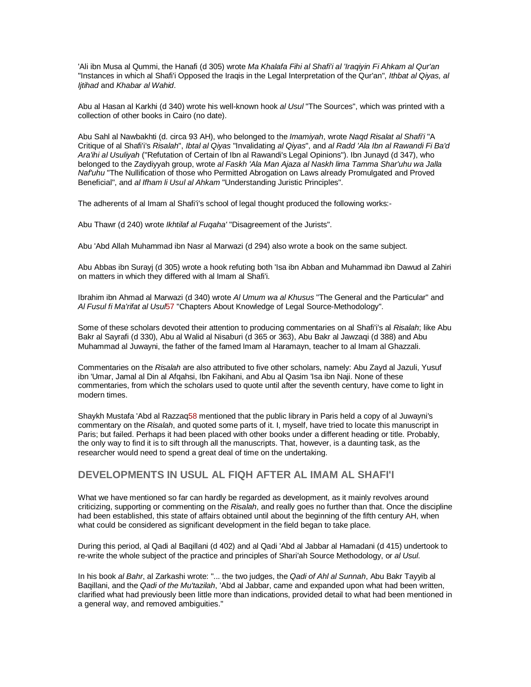'Ali ibn Musa al Qummi, the Hanafi (d 305) wrote Ma Khalafa Fihi al Shafi'i al 'Iraqiyin Fi Ahkam al Qur'an "Instances in which al Shafi'i Opposed the Iraqis in the Legal Interpretation of the Qur'an", Ithbat al Qiyas, al Ijtihad and Khabar al Wahid.

Abu al Hasan al Karkhi (d 340) wrote his well-known hook al Usul "The Sources", which was printed with a collection of other books in Cairo (no date).

Abu Sahl al Nawbakhti (d. circa 93 AH), who belonged to the Imamiyah, wrote Nagd Risalat al Shafi'i "A Critique of al Shafi'i's Risalah", Ibtal al Qiyas "Invalidating al Qiyas", and al Radd 'Ala Ibn al Rawandi Fi Ba'd Ara'ihi al Usuliyah ("Refutation of Certain of Ibn al Rawandi's Legal Opinions"). Ibn Junayd (d 347), who belonged to the Zaydiyyah group, wrote al Faskh 'Ala Man Ajaza al Naskh lima Tamma Shar'uhu wa Jalla Naf'uhu "The Nullification of those who Permitted Abrogation on Laws already Promulgated and Proved Beneficial", and al Ifham li Usul al Ahkam "Understanding Juristic Principles".

The adherents of al Imam al Shafi'i's school of legal thought produced the following works:-

Abu Thawr (d 240) wrote Ikhtilaf al Fugaha' "Disagreement of the Jurists".

Abu 'Abd Allah Muhammad ibn Nasr al Marwazi (d 294) also wrote a book on the same subject.

Abu Abbas ibn Surayj (d 305) wrote a hook refuting both 'Isa ibn Abban and Muhammad ibn Dawud al Zahiri on matters in which they differed with al Imam al Shafi'i.

Ibrahim ibn Ahmad al Marwazi (d 340) wrote Al Umum wa al Khusus "The General and the Particular" and AI Fusul fi Ma'rifat al Usul57 "Chapters About Knowledge of Legal Source-Methodology".

Some of these scholars devoted their attention to producing commentaries on al Shafi'i's al Risalah; like Abu Bakr al Sayrafi (d 330), Abu al Walid al Nisaburi (d 365 or 363), Abu Bakr al Jawzaqi (d 388) and Abu Muhammad al Juwayni, the father of the famed Imam al Haramayn, teacher to al Imam al Ghazzali.

Commentaries on the Risalah are also attributed to five other scholars, namely: Abu Zayd al Jazuli, Yusuf ibn 'Umar, Jamal al Din al Afqahsi, Ibn Fakihani, and Abu al Qasim 'Isa ibn Naji. None of these commentaries, from which the scholars used to quote until after the seventh century, have come to light in modern times.

Shaykh Mustafa 'Abd al Razzaq58 mentioned that the public library in Paris held a copy of al Juwayni's commentary on the Risalah, and quoted some parts of it. I, myself, have tried to locate this manuscript in Paris; but failed. Perhaps it had been placed with other books under a different heading or title. Probably, the only way to find it is to sift through all the manuscripts. That, however, is a daunting task, as the researcher would need to spend a great deal of time on the undertaking.

### **DEVELOPMENTS IN USUL AL FIQH AFTER AL IMAM AL SHAFI'I**

What we have mentioned so far can hardly be regarded as development, as it mainly revolves around criticizing, supporting or commenting on the Risalah, and really goes no further than that. Once the discipline had been established, this state of affairs obtained until about the beginning of the fifth century AH, when what could be considered as significant development in the field began to take place.

During this period, al Qadi al Baqillani (d 402) and al Qadi 'Abd al Jabbar al Hamadani (d 415) undertook to re-write the whole subject of the practice and principles of Shari'ah Source Methodology, or al Usul.

In his book al Bahr, al Zarkashi wrote: "... the two judges, the Qadi of Ahl al Sunnah, Abu Bakr Tayyib al Baqillani, and the Qadi of the Mu'tazilah, 'Abd al Jabbar, came and expanded upon what had been written, clarified what had previously been little more than indications, provided detail to what had been mentioned in a general way, and removed ambiguities."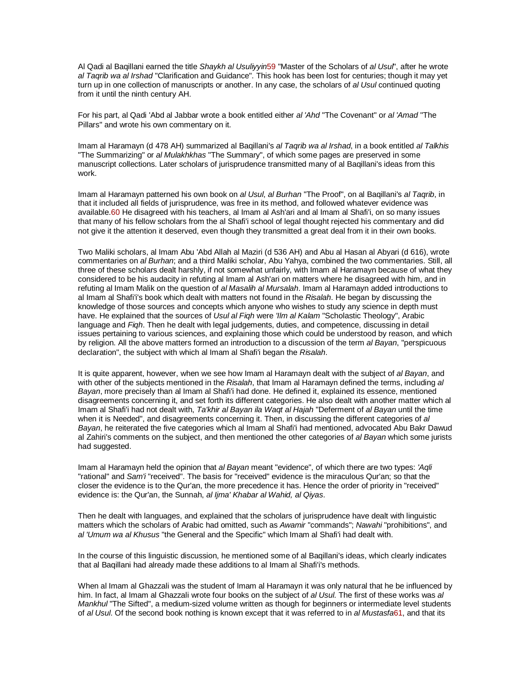Al Qadi al Baqillani earned the title Shaykh al Usuliyyin59 "Master of the Scholars of al Usul", after he wrote al Tagrib wa al Irshad "Clarification and Guidance". This hook has been lost for centuries; though it may vet turn up in one collection of manuscripts or another. In any case, the scholars of al Usul continued quoting from it until the ninth century AH.

For his part, al Qadi 'Abd al Jabbar wrote a book entitled either al 'Ahd "The Covenant" or al 'Amad "The Pillars" and wrote his own commentary on it.

Imam al Haramayn (d 478 AH) summarized al Baqillani's al Taqrib wa al Irshad, in a book entitled al Talkhis "The Summarizing" or al Mulakhkhas "The Summary", of which some pages are preserved in some manuscript collections. Later scholars of jurisprudence transmitted many of al Baqillani's ideas from this work.

Imam al Haramayn patterned his own book on al Usul, al Burhan "The Proof", on al Baqillani's al Taqrib, in that it included all fields of jurisprudence, was free in its method, and followed whatever evidence was available.60 He disagreed with his teachers, al Imam al Ash'ari and al Imam al Shafi'i, on so many issues that many of his fellow scholars from the al Shafi'i school of legal thought rejected his commentary and did not give it the attention it deserved, even though they transmitted a great deal from it in their own books.

Two Maliki scholars, al Imam Abu 'Abd Allah al Maziri (d 536 AH) and Abu al Hasan al Abyari (d 616), wrote commentaries on al Burhan; and a third Maliki scholar, Abu Yahya, combined the two commentaries. Still, all three of these scholars dealt harshly, if not somewhat unfairly, with Imam al Haramayn because of what they considered to be his audacity in refuting al Imam al Ash'ari on matters where he disagreed with him, and in refuting al Imam Malik on the question of al Masalih al Mursalah. Imam al Haramayn added introductions to al Imam al Shafi'i's book which dealt with matters not found in the Risalah. He began by discussing the knowledge of those sources and concepts which anyone who wishes to study any science in depth must have. He explained that the sources of Usul al Figh were 'Ilm al Kalam "Scholastic Theology", Arabic language and Figh. Then he dealt with legal judgements, duties, and competence, discussing in detail issues pertaining to various sciences, and explaining those which could be understood by reason, and which by religion. All the above matters formed an introduction to a discussion of the term al Bayan, "perspicuous declaration", the subject with which al Imam al Shafi'i began the Risalah.

It is quite apparent, however, when we see how Imam al Haramayn dealt with the subject of al Bayan, and with other of the subjects mentioned in the Risalah, that Imam al Haramayn defined the terms, including al Bayan, more precisely than al Imam al Shafi'i had done. He defined it, explained its essence, mentioned disagreements concerning it, and set forth its different categories. He also dealt with another matter which al Imam al Shafi'i had not dealt with, Ta'khir al Bayan ila Waqt al Hajah "Deferment of al Bayan until the time when it is Needed", and disagreements concerning it. Then, in discussing the different categories of al Bayan, he reiterated the five categories which al Imam al Shafi'i had mentioned, advocated Abu Bakr Dawud al Zahiri's comments on the subject, and then mentioned the other categories of al Bayan which some jurists had suggested.

Imam al Haramayn held the opinion that al Bayan meant "evidence", of which there are two types: 'Aqli "rational" and Sam'i "received". The basis for "received" evidence is the miraculous Qur'an; so that the closer the evidence is to the Qur'an, the more precedence it has. Hence the order of priority in "received" evidence is: the Qur'an, the Sunnah, al lima' Khabar al Wahid, al Qiyas.

Then he dealt with languages, and explained that the scholars of jurisprudence have dealt with linguistic matters which the scholars of Arabic had omitted, such as Awamir "commands"; Nawahi "prohibitions", and al 'Umum wa al Khusus "the General and the Specific" which Imam al Shafi'i had dealt with.

In the course of this linguistic discussion, he mentioned some of al Baqillani's ideas, which clearly indicates that al Baqillani had already made these additions to al Imam al Shafi'i's methods.

When al Imam al Ghazzali was the student of Imam al Haramayn it was only natural that he be influenced by him. In fact, al Imam al Ghazzali wrote four books on the subject of al Usul. The first of these works was al Mankhul "The Sifted", a medium-sized volume written as though for beginners or intermediate level students of al Usul. Of the second book nothing is known except that it was referred to in al Mustasfa61, and that its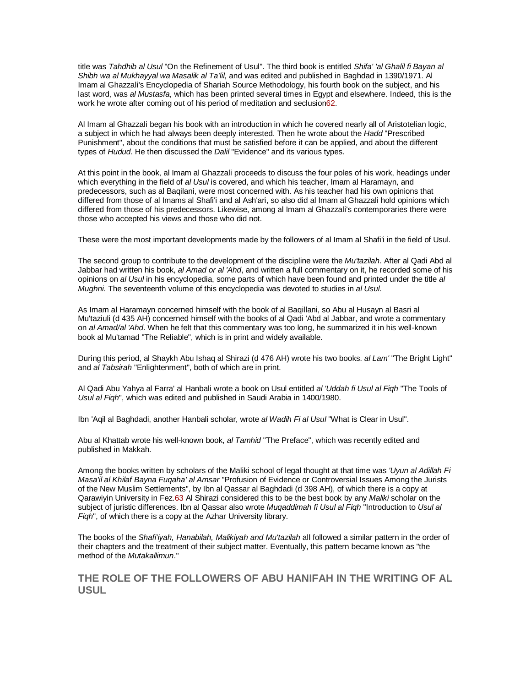title was Tahdhib al Usul "On the Refinement of Usul". The third book is entitled Shifa' 'al Ghalil fi Bayan al Shibh wa al Mukhayyal wa Masalik al Ta'lil, and was edited and published in Baghdad in 1390/1971. Al Imam al Ghazzali's Encyclopedia of Shariah Source Methodology, his fourth book on the subject, and his last word, was al Mustasfa, which has been printed several times in Egypt and elsewhere. Indeed, this is the work he wrote after coming out of his period of meditation and seclusion62.

Al Imam al Ghazzali began his book with an introduction in which he covered nearly all of Aristotelian logic, a subject in which he had always been deeply interested. Then he wrote about the Hadd "Prescribed Punishment", about the conditions that must be satisfied before it can be applied, and about the different types of Hudud. He then discussed the Dalil "Evidence" and its various types.

At this point in the book, al Imam al Ghazzali proceeds to discuss the four poles of his work, headings under which everything in the field of al Usul is covered, and which his teacher, Imam al Haramayn, and predecessors, such as al Baqilani, were most concerned with. As his teacher had his own opinions that differed from those of al Imams al Shafi'i and al Ash'ari, so also did al Imam al Ghazzali hold opinions which differed from those of his predecessors. Likewise, among al Imam al Ghazzali's contemporaries there were those who accepted his views and those who did not.

These were the most important developments made by the followers of al Imam al Shafi'i in the field of Usul.

The second group to contribute to the development of the discipline were the Mu'tazilah. After al Qadi Abd al Jabbar had written his book, al Amad or al 'Ahd, and written a full commentary on it, he recorded some of his opinions on al Usul in his encyclopedia, some parts of which have been found and printed under the title al Mughni. The seventeenth volume of this encyclopedia was devoted to studies in al Usul.

As Imam al Haramayn concerned himself with the book of al Baqillani, so Abu al Husayn al Basri al Mu'taziuli (d 435 AH) concerned himself with the books of al Qadi 'Abd al Jabbar, and wrote a commentary on al Amad/al 'Ahd. When he felt that this commentary was too long, he summarized it in his well-known book al Mu'tamad "The Reliable", which is in print and widely available.

During this period, al Shaykh Abu Ishaq al Shirazi (d 476 AH) wrote his two books. al Lam' "The Bright Light" and al Tabsirah "Enlightenment", both of which are in print.

Al Qadi Abu Yahya al Farra' al Hanbali wrote a book on Usul entitled al 'Uddah fi Usul al Figh "The Tools of Usul al Fiqh", which was edited and published in Saudi Arabia in 1400/1980.

Ibn 'Aqil al Baghdadi, another Hanbali scholar, wrote al Wadih Fi al Usul "What is Clear in Usul".

Abu al Khattab wrote his well-known book, al Tamhid "The Preface", which was recently edited and published in Makkah.

Among the books written by scholars of the Maliki school of legal thought at that time was 'Uyun al Adillah Fi Masa'il al Khilaf Bayna Fuqaha' al Amsar "Profusion of Evidence or Controversial Issues Among the Jurists of the New Muslim Settlements", by Ibn al Qassar al Baghdadi (d 398 AH), of which there is a copy at Qarawiyin University in Fez.63 Al Shirazi considered this to be the best book by any Maliki scholar on the subject of juristic differences. Ibn al Qassar also wrote Muqaddimah fi Usul al Fiqh "Introduction to Usul al Figh", of which there is a copy at the Azhar University library.

The books of the Shafi'iyah, Hanabilah, Malikiyah and Mu'tazilah all followed a similar pattern in the order of their chapters and the treatment of their subject matter. Eventually, this pattern became known as "the method of the Mutakallimun."

## **THE ROLE OF THE FOLLOWERS OF ABU HANIFAH IN THE WRITING OF AL USUL**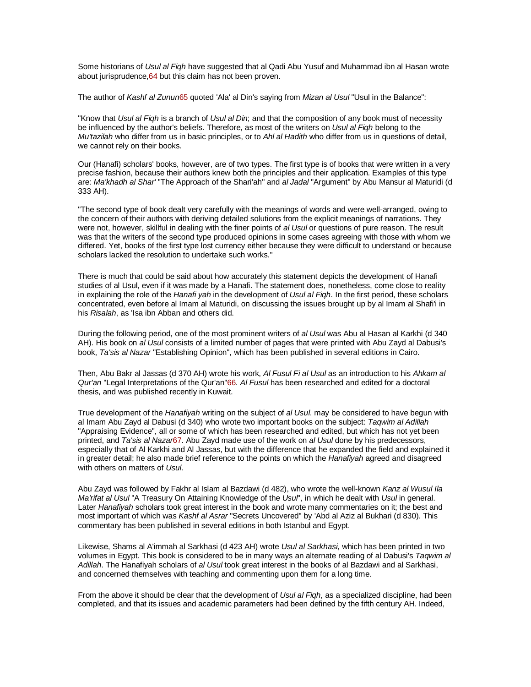Some historians of Usul al Figh have suggested that al Qadi Abu Yusuf and Muhammad ibn al Hasan wrote about jurisprudence,64 but this claim has not been proven.

The author of Kashf al Zunun65 quoted 'Ala' al Din's saying from Mizan al Usul "Usul in the Balance":

"Know that Usul al Figh is a branch of Usul al Din; and that the composition of any book must of necessity be influenced by the author's beliefs. Therefore, as most of the writers on Usul al Figh belong to the Mu'tazilah who differ from us in basic principles, or to Ahl al Hadith who differ from us in questions of detail, we cannot rely on their books.

Our (Hanafi) scholars' books, however, are of two types. The first type is of books that were written in a very precise fashion, because their authors knew both the principles and their application. Examples of this type are: Ma'khadh al Shar' "The Approach of the Shari'ah" and al Jadal "Argument" by Abu Mansur al Maturidi (d 333 AH).

"The second type of book dealt very carefully with the meanings of words and were well-arranged, owing to the concern of their authors with deriving detailed solutions from the explicit meanings of narrations. They were not, however, skillful in dealing with the finer points of al Usul or questions of pure reason. The result was that the writers of the second type produced opinions in some cases agreeing with those with whom we differed. Yet, books of the first type lost currency either because they were difficult to understand or because scholars lacked the resolution to undertake such works."

There is much that could be said about how accurately this statement depicts the development of Hanafi studies of al Usul, even if it was made by a Hanafi. The statement does, nonetheless, come close to reality in explaining the role of the Hanafi yah in the development of Usul al Figh. In the first period, these scholars concentrated, even before al Imam al Maturidi, on discussing the issues brought up by al Imam al Shafi'i in his Risalah, as 'Isa ibn Abban and others did.

During the following period, one of the most prominent writers of al Usul was Abu al Hasan al Karkhi (d 340 AH). His book on al Usul consists of a limited number of pages that were printed with Abu Zayd al Dabusi's book, Ta'sis al Nazar "Establishing Opinion", which has been published in several editions in Cairo.

Then, Abu Bakr al Jassas (d 370 AH) wrote his work, Al Fusul Fi al Usul as an introduction to his Ahkam al Qur'an "Legal Interpretations of the Qur'an"66. Al Fusul has been researched and edited for a doctoral thesis, and was published recently in Kuwait.

True development of the Hanafiyah writing on the subject of al Usul. may be considered to have begun with al Imam Abu Zayd al Dabusi (d 340) who wrote two important books on the subject: Tagwim al Adillah "Appraising Evidence", all or some of which has been researched and edited, but which has not yet been printed, and Ta'sis al Nazar67. Abu Zayd made use of the work on al Usul done by his predecessors, especially that of Al Karkhi and Al Jassas, but with the difference that he expanded the field and explained it in greater detail; he also made brief reference to the points on which the Hanafiyah agreed and disagreed with others on matters of Usul.

Abu Zayd was followed by Fakhr al Islam al Bazdawi (d 482), who wrote the well-known Kanz al Wusul Ila Ma'rifat al Usul "A Treasury On Attaining Knowledge of the Usul", in which he dealt with Usul in general. Later Hanafiyah scholars took great interest in the book and wrote many commentaries on it; the best and most important of which was Kashf al Asrar "Secrets Uncovered" by 'Abd al Aziz al Bukhari (d 830). This commentary has been published in several editions in both Istanbul and Egypt.

Likewise, Shams al A'immah al Sarkhasi (d 423 AH) wrote Usul al Sarkhasi, which has been printed in two volumes in Egypt. This book is considered to be in many ways an alternate reading of al Dabusi's Taqwim al Adillah. The Hanafiyah scholars of al Usul took great interest in the books of al Bazdawi and al Sarkhasi, and concerned themselves with teaching and commenting upon them for a long time.

From the above it should be clear that the development of Usul al Figh, as a specialized discipline, had been completed, and that its issues and academic parameters had been defined by the fifth century AH. Indeed,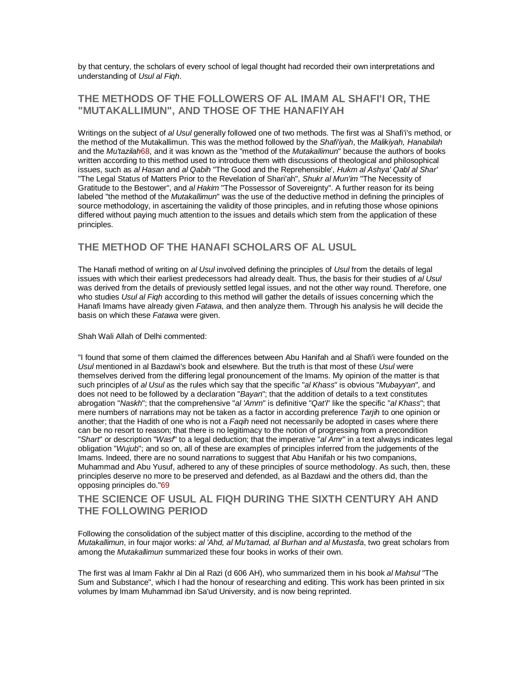by that century, the scholars of every school of legal thought had recorded their own interpretations and understanding of Usul al Fiqh.

# **THE METHODS OF THE FOLLOWERS OF AL IMAM AL SHAFI'I OR, THE "MUTAKALLIMUN", AND THOSE OF THE HANAFIYAH**

Writings on the subject of al Usul generally followed one of two methods. The first was al Shafi'i's method, or the method of the Mutakallimun. This was the method followed by the Shafi'iyah, the Malikiyah, Hanabilah and the Mu'tazilah68, and it was known as the "method of the Mutakallimun" because the authors of books written according to this method used to introduce them with discussions of theological and philosophical issues, such as al Hasan and al Qabih "The Good and the Reprehensible', Hukm al Ashya' Qabl al Shar' "The Legal Status of Matters Prior to the Revelation of Shari'ah", Shukr al Mun'im "The Necessity of Gratitude to the Bestower", and al Hakim "The Possessor of Sovereignty". A further reason for its being labeled "the method of the *Mutakallimun*" was the use of the deductive method in defining the principles of source methodology, in ascertaining the validity of those principles, and in refuting those whose opinions differed without paying much attention to the issues and details which stem from the application of these principles.

## **THE METHOD OF THE HANAFI SCHOLARS OF AL USUL**

The Hanafi method of writing on al Usul involved defining the principles of Usul from the details of legal issues with which their earliest predecessors had already dealt. Thus, the basis for their studies of al Usul was derived from the details of previously settled legal issues, and not the other way round. Therefore, one who studies Usul al Figh according to this method will gather the details of issues concerning which the Hanafi Imams have already given Fatawa, and then analyze them. Through his analysis he will decide the basis on which these Fatawa were given.

#### Shah Wali Allah of Delhi commented:

"I found that some of them claimed the differences between Abu Hanifah and al Shafi'i were founded on the Usul mentioned in al Bazdawi's book and elsewhere. But the truth is that most of these Usul were themselves derived from the differing legal pronouncement of the Imams. My opinion of the matter is that such principles of al Usul as the rules which say that the specific "al Khass" is obvious "Mubayyan", and does not need to be followed by a declaration "Bayan"; that the addition of details to a text constitutes abrogation "Naskh"; that the comprehensive "al 'Amm" is definitive "Qat'i" like the specific "al Khass"; that mere numbers of narrations may not be taken as a factor in according preference Tariih to one opinion or another; that the Hadith of one who is not a Faqih need not necessarily be adopted in cases where there can be no resort to reason; that there is no legitimacy to the notion of progressing from a precondition "Shart" or description "Wasf" to a legal deduction; that the imperative "al Amr" in a text always indicates legal obligation "Wujub"; and so on, all of these are examples of principles inferred from the judgements of the Imams. Indeed, there are no sound narrations to suggest that Abu Hanifah or his two companions, Muhammad and Abu Yusuf, adhered to any of these principles of source methodology. As such, then, these principles deserve no more to be preserved and defended, as al Bazdawi and the others did, than the opposing principles do."69

### **THE SCIENCE OF USUL AL FIQH DURING THE SIXTH CENTURY AH AND THE FOLLOWING PERIOD**

Following the consolidation of the subject matter of this discipline, according to the method of the Mutakallimun, in four major works: al 'Ahd, al Mu'tamad, al Burhan and al Mustasfa, two great scholars from among the Mutakallimun summarized these four books in works of their own.

The first was al Imam Fakhr al Din al Razi (d 606 AH), who summarized them in his book al Mahsul "The Sum and Substance", which I had the honour of researching and editing. This work has been printed in six volumes by Imam Muhammad ibn Sa'ud University, and is now being reprinted.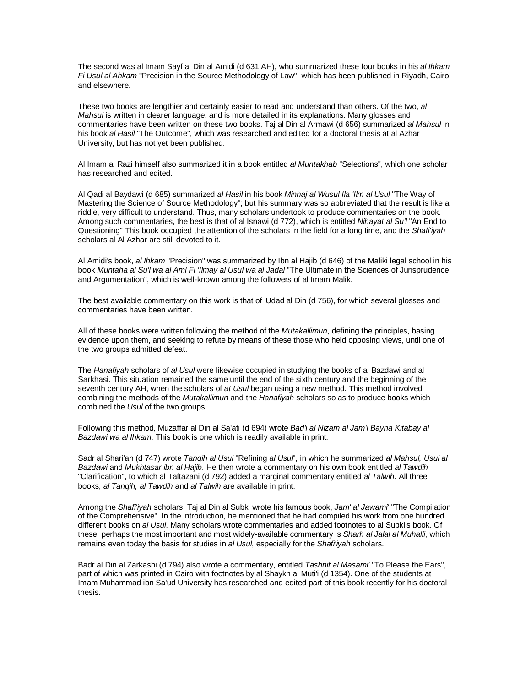The second was al Imam Sayf al Din al Amidi (d 631 AH), who summarized these four books in his al Ihkam Fi Usul al Ahkam "Precision in the Source Methodology of Law", which has been published in Riyadh, Cairo and elsewhere.

These two books are lengthier and certainly easier to read and understand than others. Of the two, al Mahsul is written in clearer language, and is more detailed in its explanations. Many glosses and commentaries have been written on these two books. Taj al Din al Armawi (d 656) summarized al Mahsul in his book al Hasil "The Outcome", which was researched and edited for a doctoral thesis at al Azhar University, but has not yet been published.

Al Imam al Razi himself also summarized it in a book entitled al Muntakhab "Selections", which one scholar has researched and edited.

Al Qadi al Baydawi (d 685) summarized al Hasil in his book Minhaj al Wusul Ila 'Ilm al Usul "The Way of Mastering the Science of Source Methodology"; but his summary was so abbreviated that the result is like a riddle, very difficult to understand. Thus, many scholars undertook to produce commentaries on the book. Among such commentaries, the best is that of al Isnawi (d 772), which is entitled Nihayat al Su'l "An End to Questioning" This book occupied the attention of the scholars in the field for a long time, and the Shafi'iyah scholars al Al Azhar are still devoted to it.

Al Amidi's book, al Ihkam "Precision" was summarized by Ibn al Hajib (d 646) of the Maliki legal school in his book Muntaha al Su'l wa al Aml Fi 'Ilmay al Usul wa al Jadal "The Ultimate in the Sciences of Jurisprudence and Argumentation", which is well-known among the followers of al Imam Malik.

The best available commentary on this work is that of 'Udad al Din (d 756), for which several glosses and commentaries have been written.

All of these books were written following the method of the Mutakallimun, defining the principles, basing evidence upon them, and seeking to refute by means of these those who held opposing views, until one of the two groups admitted defeat.

The Hanafiyah scholars of al Usul were likewise occupied in studying the books of al Bazdawi and al Sarkhasi. This situation remained the same until the end of the sixth century and the beginning of the seventh century AH, when the scholars of at Usul began using a new method. This method involved combining the methods of the Mutakallimun and the Hanafiyah scholars so as to produce books which combined the Usul of the two groups.

Following this method, Muzaffar al Din al Sa'ati (d 694) wrote Bad'i al Nizam al Jam'i Bayna Kitabay al Bazdawi wa al Ihkam. This book is one which is readily available in print.

Sadr al Shari'ah (d 747) wrote Tangih al Usul "Refining al Usul", in which he summarized al Mahsul, Usul al Bazdawi and Mukhtasar ibn al Hajib. He then wrote a commentary on his own book entitled al Tawdih "Clarification", to which al Taftazani (d 792) added a marginal commentary entitled al Talwih. All three books, al Tanqih, al Tawdih and al Talwih are available in print.

Among the Shafi'iyah scholars, Taj al Din al Subki wrote his famous book, Jam' al Jawami' "The Compilation of the Comprehensive". In the introduction, he mentioned that he had compiled his work from one hundred different books on al Usul. Many scholars wrote commentaries and added footnotes to al Subki's book. Of these, perhaps the most important and most widely-available commentary is Sharh al Jalal al Muhalli, which remains even today the basis for studies in al Usul, especially for the Shafi'iyah scholars.

Badr al Din al Zarkashi (d 794) also wrote a commentary, entitled Tashnif al Masami' "To Please the Ears", part of which was printed in Cairo with footnotes by al Shaykh al Muti'i (d 1354). One of the students at Imam Muhammad ibn Sa'ud University has researched and edited part of this book recently for his doctoral thesis.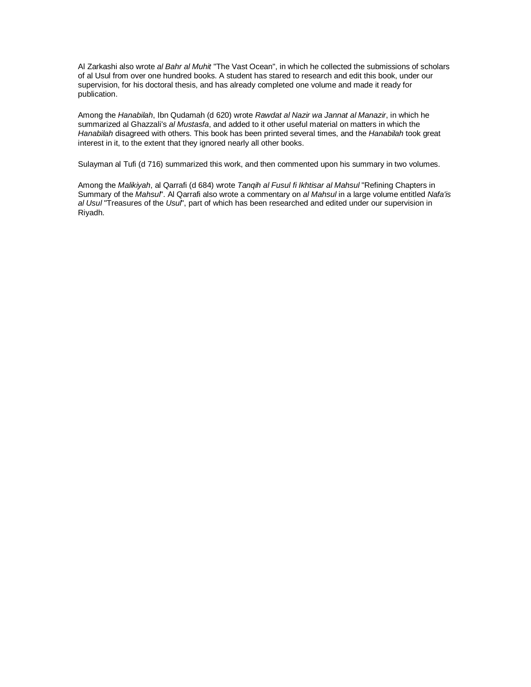Al Zarkashi also wrote al Bahr al Muhit "The Vast Ocean", in which he collected the submissions of scholars of al Usul from over one hundred books. A student has stared to research and edit this book, under our supervision, for his doctoral thesis, and has already completed one volume and made it ready for publication.

Among the Hanabilah, Ibn Qudamah (d 620) wrote Rawdat al Nazir wa Jannat al Manazir, in which he summarized al Ghazzali's al Mustasfa, and added to it other useful material on matters in which the Hanabilah disagreed with others. This book has been printed several times, and the Hanabilah took great interest in it, to the extent that they ignored nearly all other books.

Sulayman al Tufi (d 716) summarized this work, and then commented upon his summary in two volumes.

Among the Malikiyah, al Qarrafi (d 684) wrote Tangih al Fusul fi Ikhtisar al Mahsul "Refining Chapters in Summary of the Mahsul". Al Qarrafi also wrote a commentary on al Mahsul in a large volume entitled Nafa'is al Usul "Treasures of the Usul", part of which has been researched and edited under our supervision in Riyadh.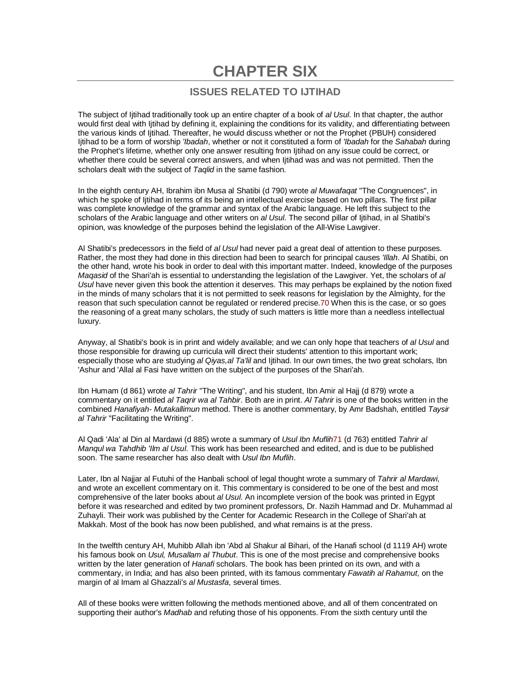# **CHAPTER SIX**

# **ISSUES RELATED TO IJTIHAD**

The subject of litihad traditionally took up an entire chapter of a book of al Usul. In that chapter, the author would first deal with Ijtihad by defining it, explaining the conditions for its validity, and differentiating between the various kinds of Ijtihad. Thereafter, he would discuss whether or not the Prophet (PBUH) considered litihad to be a form of worship 'Ibadah, whether or not it constituted a form of 'Ibadah for the Sahabah during the Prophet's lifetime, whether only one answer resulting from Ijtihad on any issue could be correct, or whether there could be several correct answers, and when Ijtihad was and was not permitted. Then the scholars dealt with the subiect of Taglid in the same fashion.

In the eighth century AH, Ibrahim ibn Musa al Shatibi (d 790) wrote al Muwafagat "The Congruences", in which he spoke of Ijtihad in terms of its being an intellectual exercise based on two pillars. The first pillar was complete knowledge of the grammar and syntax of the Arabic language. He left this subject to the scholars of the Arabic language and other writers on al Usul. The second pillar of litihad, in al Shatibi's opinion, was knowledge of the purposes behind the legislation of the All-Wise Lawgiver.

Al Shatibi's predecessors in the field of al Usul had never paid a great deal of attention to these purposes. Rather, the most they had done in this direction had been to search for principal causes 'Illah. Al Shatibi, on the other hand, wrote his book in order to deal with this important matter. Indeed, knowledge of the purposes Magasid of the Shari'ah is essential to understanding the legislation of the Lawgiver. Yet, the scholars of al Usul have never given this book the attention it deserves. This may perhaps be explained by the notion fixed in the minds of many scholars that it is not permitted to seek reasons for legislation by the Almighty, for the reason that such speculation cannot be regulated or rendered precise.70 When this is the case, or so goes the reasoning of a great many scholars, the study of such matters is little more than a needless intellectual luxury.

Anyway, al Shatibi's book is in print and widely available; and we can only hope that teachers of al Usul and those responsible for drawing up curricula will direct their students' attention to this important work; especially those who are studying al Qiyas, al Ta'lil and Ijtihad. In our own times, the two great scholars, Ibn 'Ashur and 'Allal al Fasi have written on the subject of the purposes of the Shari'ah.

Ibn Humam (d 861) wrote al Tahrir "The Writing", and his student, Ibn Amir al Hajj (d 879) wrote a commentary on it entitled al Taqrir wa al Tahbir. Both are in print. Al Tahrir is one of the books written in the combined Hanafiyah- Mutakallimun method. There is another commentary, by Amr Badshah, entitled Taysir al Tahrir "Facilitating the Writing".

Al Qadi 'Ala' al Din al Mardawi (d 885) wrote a summary of Usul Ibn Muflih71 (d 763) entitled Tahrir al Manqul wa Tahdhib 'Ilm al Usul. This work has been researched and edited, and is due to be published soon. The same researcher has also dealt with Usul Ibn Muflih.

Later, Ibn al Najjar al Futuhi of the Hanbali school of legal thought wrote a summary of Tahrir al Mardawi, and wrote an excellent commentary on it. This commentary is considered to be one of the best and most comprehensive of the later books about al Usul. An incomplete version of the book was printed in Egypt before it was researched and edited by two prominent professors, Dr. Nazih Hammad and Dr. Muhammad al Zuhayli. Their work was published by the Center for Academic Research in the College of Shari'ah at Makkah. Most of the book has now been published, and what remains is at the press.

In the twelfth century AH, Muhibb Allah ibn 'Abd al Shakur al Bihari, of the Hanafi school (d 1119 AH) wrote his famous book on Usul, Musallam al Thubut. This is one of the most precise and comprehensive books written by the later generation of Hanafi scholars. The book has been printed on its own, and with a commentary, in India; and has also been printed, with its famous commentary Fawatih al Rahamut, on the margin of al Imam al Ghazzali's al Mustasfa, several times.

All of these books were written following the methods mentioned above, and all of them concentrated on supporting their author's Madhab and refuting those of his opponents. From the sixth century until the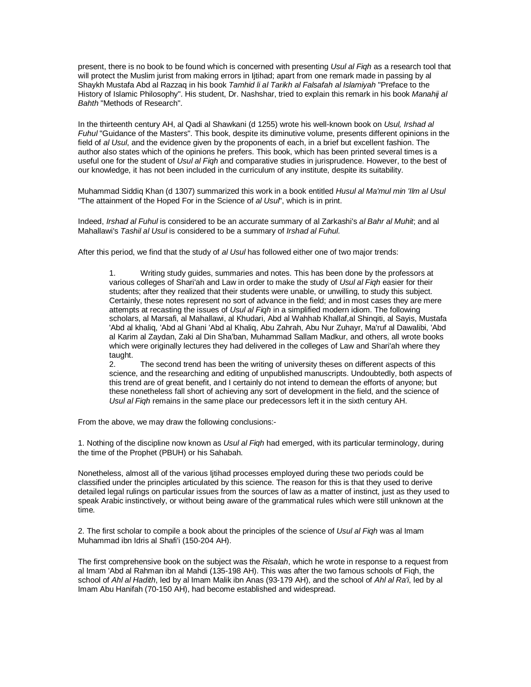present, there is no book to be found which is concerned with presenting Usul al Figh as a research tool that will protect the Muslim jurist from making errors in Ijtihad; apart from one remark made in passing by al Shaykh Mustafa Abd al Razzaq in his book Tamhid li al Tarikh al Falsafah al Islamiyah "Preface to the History of Islamic Philosophy". His student, Dr. Nashshar, tried to explain this remark in his book Manahij al Bahth "Methods of Research".

In the thirteenth century AH, al Qadi al Shawkani (d 1255) wrote his well-known book on Usul, Irshad al Fuhul "Guidance of the Masters". This book, despite its diminutive volume, presents different opinions in the field of al Usul, and the evidence given by the proponents of each, in a brief but excellent fashion. The author also states which of the opinions he prefers. This book, which has been printed several times is a useful one for the student of Usul al Fiqh and comparative studies in jurisprudence. However, to the best of our knowledge, it has not been included in the curriculum of any institute, despite its suitability.

Muhammad Siddiq Khan (d 1307) summarized this work in a book entitled Husul al Ma'mul min 'Ilm al Usul "The attainment of the Hoped For in the Science of al Usul", which is in print.

Indeed, Irshad al Fuhul is considered to be an accurate summary of al Zarkashi's al Bahr al Muhit; and al Mahallawi's Tashil al Usul is considered to be a summary of Irshad al Fuhul.

After this period, we find that the study of al Usul has followed either one of two major trends:

1. Writing study guides, summaries and notes. This has been done by the professors at various colleges of Shari'ah and Law in order to make the study of Usul al Fiqh easier for their students; after they realized that their students were unable, or unwilling, to study this subject. Certainly, these notes represent no sort of advance in the field; and in most cases they are mere attempts at recasting the issues of Usul al Figh in a simplified modern idiom. The following scholars, al Marsafi, al Mahallawi, al Khudari, Abd al Wahhab Khallaf,al Shinqiti, al Sayis, Mustafa 'Abd al khaliq, 'Abd al Ghani 'Abd al Khaliq, Abu Zahrah, Abu Nur Zuhayr, Ma'ruf al Dawalibi, 'Abd al Karim al Zaydan, Zaki al Din Sha'ban, Muhammad Sallam Madkur, and others, all wrote books which were originally lectures they had delivered in the colleges of Law and Shari'ah where they taught.

2. The second trend has been the writing of university theses on different aspects of this science, and the researching and editing of unpublished manuscripts. Undoubtedly, both aspects of this trend are of great benefit, and I certainly do not intend to demean the efforts of anyone; but these nonetheless fall short of achieving any sort of development in the field, and the science of Usul al Figh remains in the same place our predecessors left it in the sixth century AH.

From the above, we may draw the following conclusions:-

1. Nothing of the discipline now known as Usul al Figh had emerged, with its particular terminology, during the time of the Prophet (PBUH) or his Sahabah.

Nonetheless, almost all of the various Ijtihad processes employed during these two periods could be classified under the principles articulated by this science. The reason for this is that they used to derive detailed legal rulings on particular issues from the sources of law as a matter of instinct, just as they used to speak Arabic instinctively, or without being aware of the grammatical rules which were still unknown at the time.

2. The first scholar to compile a book about the principles of the science of Usul al Figh was al Imam Muhammad ibn Idris al Shafi'i (150-204 AH).

The first comprehensive book on the subject was the Risalah, which he wrote in response to a request from al Imam 'Abd al Rahman ibn al Mahdi (135-198 AH). This was after the two famous schools of Fiqh, the school of Ahl al Hadith, led by al Imam Malik ibn Anas (93-179 AH), and the school of Ahl al Ra'i, led by al Imam Abu Hanifah (70-150 AH), had become established and widespread.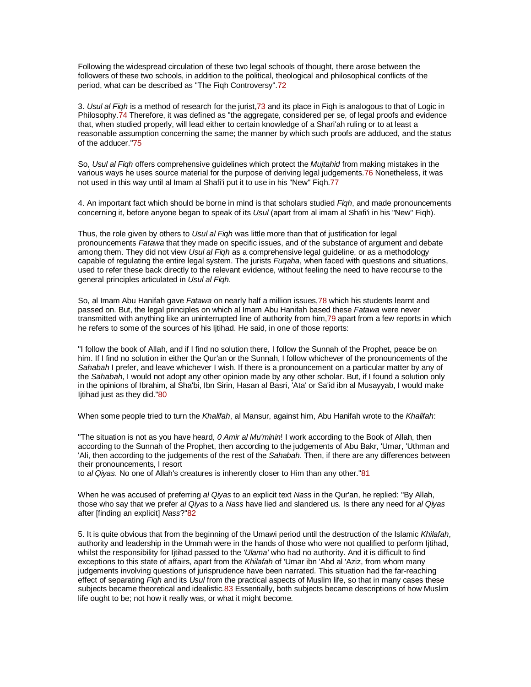Following the widespread circulation of these two legal schools of thought, there arose between the followers of these two schools, in addition to the political, theological and philosophical conflicts of the period, what can be described as "The Fiqh Controversy".72

3. Usul al Figh is a method of research for the jurist, 73 and its place in Figh is analogous to that of Logic in Philosophy.74 Therefore, it was defined as "the aggregate, considered per se, of legal proofs and evidence that, when studied properly, will lead either to certain knowledge of a Shari'ah ruling or to at least a reasonable assumption concerning the same; the manner by which such proofs are adduced, and the status of the adducer."75

So, Usul al Figh offers comprehensive guidelines which protect the Mujtahid from making mistakes in the various ways he uses source material for the purpose of deriving legal judgements.76 Nonetheless, it was not used in this way until al Imam al Shafi'i put it to use in his "New" Fiqh.77

4. An important fact which should be borne in mind is that scholars studied Figh, and made pronouncements concerning it, before anyone began to speak of its Usul (apart from al imam al Shafi'i in his "New" Figh).

Thus, the role given by others to Usul al Figh was little more than that of justification for legal pronouncements Fatawa that they made on specific issues, and of the substance of argument and debate among them. They did not view Usul al Figh as a comprehensive legal guideline, or as a methodology capable of regulating the entire legal system. The jurists Fugaha, when faced with questions and situations, used to refer these back directly to the relevant evidence, without feeling the need to have recourse to the general principles articulated in Usul al Fiqh.

So, al Imam Abu Hanifah gave Fatawa on nearly half a million issues, 78 which his students learnt and passed on. But, the legal principles on which al Imam Abu Hanifah based these Fatawa were never transmitted with anything like an uninterrupted line of authority from him,79 apart from a few reports in which he refers to some of the sources of his Ijtihad. He said, in one of those reports:

"I follow the book of Allah, and if I find no solution there, I follow the Sunnah of the Prophet, peace be on him. If I find no solution in either the Qur'an or the Sunnah, I follow whichever of the pronouncements of the Sahabah I prefer, and leave whichever I wish. If there is a pronouncement on a particular matter by any of the Sahabah, I would not adopt any other opinion made by any other scholar. But, if I found a solution only in the opinions of Ibrahim, al Sha'bi, Ibn Sirin, Hasan al Basri, 'Ata' or Sa'id ibn al Musayyab, I would make Ijtihad just as they did."80

When some people tried to turn the Khalifah, al Mansur, against him, Abu Hanifah wrote to the Khalifah:

"The situation is not as you have heard, 0 Amir al Mu'minin! I work according to the Book of Allah, then according to the Sunnah of the Prophet, then according to the judgements of Abu Bakr, 'Umar, 'Uthman and 'Ali, then according to the judgements of the rest of the Sahabah. Then, if there are any differences between their pronouncements, I resort

to al Qiyas. No one of Allah's creatures is inherently closer to Him than any other."81

When he was accused of preferring al Qiyas to an explicit text Nass in the Qur'an, he replied: "By Allah, those who say that we prefer al Qiyas to a Nass have lied and slandered us. Is there any need for al Qiyas after [finding an explicit] Nass?"82

5. It is quite obvious that from the beginning of the Umawi period until the destruction of the Islamic Khilafah, authority and leadership in the Ummah were in the hands of those who were not qualified to perform Ijtihad, whilst the responsibility for Ijtihad passed to the 'Ulama' who had no authority. And it is difficult to find exceptions to this state of affairs, apart from the Khilafah of 'Umar ibn 'Abd al 'Aziz, from whom many judgements involving questions of jurisprudence have been narrated. This situation had the far-reaching effect of separating Figh and its Usul from the practical aspects of Muslim life, so that in many cases these subjects became theoretical and idealistic.83 Essentially, both subjects became descriptions of how Muslim life ought to be; not how it really was, or what it might become.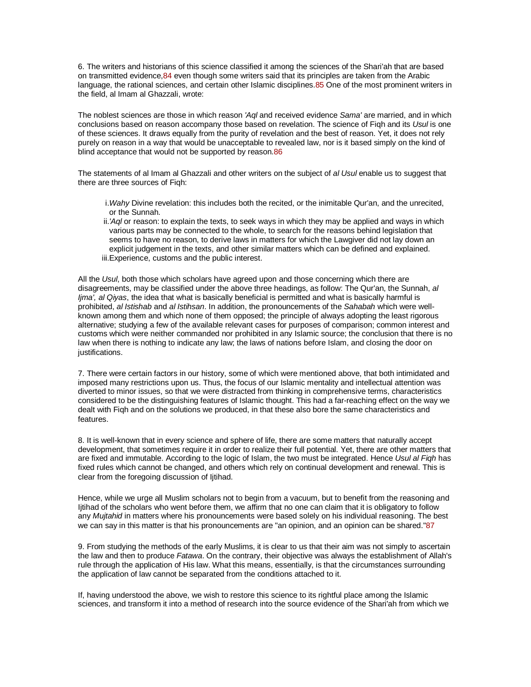6. The writers and historians of this science classified it among the sciences of the Shari'ah that are based on transmitted evidence, 84 even though some writers said that its principles are taken from the Arabic language, the rational sciences, and certain other Islamic disciplines.85 One of the most prominent writers in the field, al Imam al Ghazzali, wrote:

The noblest sciences are those in which reason 'Aql and received evidence Sama' are married, and in which conclusions based on reason accompany those based on revelation. The science of Fiqh and its Usul is one of these sciences. It draws equally from the purity of revelation and the best of reason. Yet, it does not rely purely on reason in a way that would be unacceptable to revealed law, nor is it based simply on the kind of blind acceptance that would not be supported by reason.86

The statements of al Imam al Ghazzali and other writers on the subject of al Usul enable us to suggest that there are three sources of Fiqh:

- i. Wahy Divine revelation: this includes both the recited, or the inimitable Qur'an, and the unrecited, or the Sunnah.
- ii.'Aql or reason: to explain the texts, to seek ways in which they may be applied and ways in which various parts may be connected to the whole, to search for the reasons behind legislation that seems to have no reason, to derive laws in matters for which the Lawgiver did not lay down an explicit judgement in the texts, and other similar matters which can be defined and explained. iii.Experience, customs and the public interest.

All the Usul, both those which scholars have agreed upon and those concerning which there are disagreements, may be classified under the above three headings, as follow: The Qur'an, the Sunnah, al Ijma', al Qiyas, the idea that what is basically beneficial is permitted and what is basically harmful is prohibited, al Istishab and al Istihsan. In addition, the pronouncements of the Sahabah which were wellknown among them and which none of them opposed; the principle of always adopting the least rigorous alternative; studying a few of the available relevant cases for purposes of comparison; common interest and customs which were neither commanded nor prohibited in any Islamic source; the conclusion that there is no law when there is nothing to indicate any law; the laws of nations before Islam, and closing the door on justifications.

7. There were certain factors in our history, some of which were mentioned above, that both intimidated and imposed many restrictions upon us. Thus, the focus of our Islamic mentality and intellectual attention was diverted to minor issues, so that we were distracted from thinking in comprehensive terms, characteristics considered to be the distinguishing features of Islamic thought. This had a far-reaching effect on the way we dealt with Fiqh and on the solutions we produced, in that these also bore the same characteristics and features.

8. It is well-known that in every science and sphere of life, there are some matters that naturally accept development, that sometimes require it in order to realize their full potential. Yet, there are other matters that are fixed and immutable. According to the logic of Islam, the two must be integrated. Hence Usul al Figh has fixed rules which cannot be changed, and others which rely on continual development and renewal. This is clear from the foregoing discussion of Ijtihad.

Hence, while we urge all Muslim scholars not to begin from a vacuum, but to benefit from the reasoning and Ijtihad of the scholars who went before them, we affirm that no one can claim that it is obligatory to follow any Mujtahid in matters where his pronouncements were based solely on his individual reasoning. The best we can say in this matter is that his pronouncements are "an opinion, and an opinion can be shared."87

9. From studying the methods of the early Muslims, it is clear to us that their aim was not simply to ascertain the law and then to produce Fatawa. On the contrary, their objective was always the establishment of Allah's rule through the application of His law. What this means, essentially, is that the circumstances surrounding the application of law cannot be separated from the conditions attached to it.

If, having understood the above, we wish to restore this science to its rightful place among the Islamic sciences, and transform it into a method of research into the source evidence of the Shari'ah from which we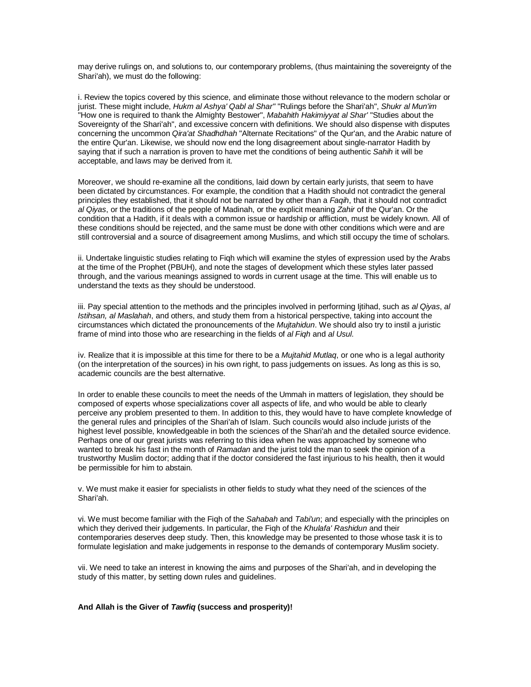may derive rulings on, and solutions to, our contemporary problems, (thus maintaining the sovereignty of the Shari'ah), we must do the following:

i. Review the topics covered by this science, and eliminate those without relevance to the modern scholar or jurist. These might include, Hukm al Ashya' Qabl al Shar" "Rulings before the Shari'ah", Shukr al Mun'im "How one is required to thank the Almighty Bestower", Mabahith Hakimiyyat al Shar' "Studies about the Sovereignty of the Shari'ah", and excessive concern with definitions. We should also dispense with disputes concerning the uncommon Qira'at Shadhdhah "Alternate Recitations" of the Qur'an, and the Arabic nature of the entire Qur'an. Likewise, we should now end the long disagreement about single-narrator Hadith by saying that if such a narration is proven to have met the conditions of being authentic Sahih it will be acceptable, and laws may be derived from it.

Moreover, we should re-examine all the conditions, laid down by certain early jurists, that seem to have been dictated by circumstances. For example, the condition that a Hadith should not contradict the general principles they established, that it should not be narrated by other than a Faqih, that it should not contradict al Qiyas, or the traditions of the people of Madinah, or the explicit meaning Zahir of the Qur'an. Or the condition that a Hadith, if it deals with a common issue or hardship or affliction, must be widely known. All of these conditions should be rejected, and the same must be done with other conditions which were and are still controversial and a source of disagreement among Muslims, and which still occupy the time of scholars.

ii. Undertake linguistic studies relating to Fiqh which will examine the styles of expression used by the Arabs at the time of the Prophet (PBUH), and note the stages of development which these styles later passed through, and the various meanings assigned to words in current usage at the time. This will enable us to understand the texts as they should be understood.

iii. Pay special attention to the methods and the principles involved in performing litihad, such as al Qiyas, al Istihsan, al Maslahah, and others, and study them from a historical perspective, taking into account the circumstances which dictated the pronouncements of the Mujtahidun. We should also try to instil a juristic frame of mind into those who are researching in the fields of al Figh and al Usul.

iv. Realize that it is impossible at this time for there to be a *Muitahid Mutlag*, or one who is a legal authority (on the interpretation of the sources) in his own right, to pass judgements on issues. As long as this is so, academic councils are the best alternative.

In order to enable these councils to meet the needs of the Ummah in matters of legislation, they should be composed of experts whose specializations cover all aspects of life, and who would be able to clearly perceive any problem presented to them. In addition to this, they would have to have complete knowledge of the general rules and principles of the Shari'ah of Islam. Such councils would also include jurists of the highest level possible, knowledgeable in both the sciences of the Shari'ah and the detailed source evidence. Perhaps one of our great jurists was referring to this idea when he was approached by someone who wanted to break his fast in the month of Ramadan and the jurist told the man to seek the opinion of a trustworthy Muslim doctor; adding that if the doctor considered the fast injurious to his health, then it would be permissible for him to abstain.

v. We must make it easier for specialists in other fields to study what they need of the sciences of the Shari'ah.

vi. We must become familiar with the Figh of the Sahabah and Tabi'un; and especially with the principles on which they derived their judgements. In particular, the Figh of the Khulafa' Rashidun and their contemporaries deserves deep study. Then, this knowledge may be presented to those whose task it is to formulate legislation and make judgements in response to the demands of contemporary Muslim society.

vii. We need to take an interest in knowing the aims and purposes of the Shari'ah, and in developing the study of this matter, by setting down rules and guidelines.

#### **And Allah is the Giver of Tawfiq (success and prosperity)!**